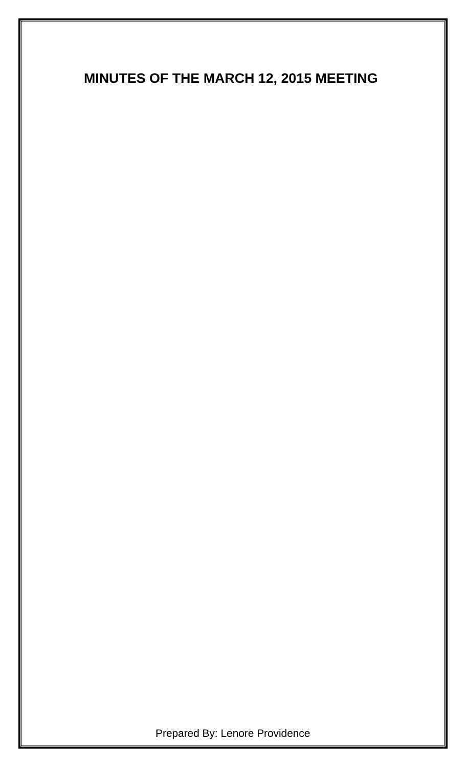# **MINUTES OF THE MARCH 12, 2015 MEETING**

Prepared By: Lenore Providence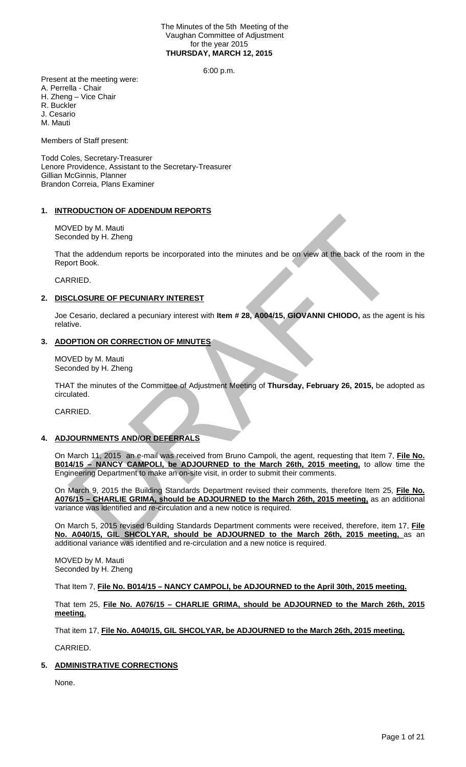#### The Minutes of the 5th Meeting of the Vaughan Committee of Adjustment for the year 2015 **THURSDAY, MARCH 12, 2015**

6:00 p.m.

Present at the meeting were: A. Perrella - Chair H. Zheng – Vice Chair R. Buckler J. Cesario M. Mauti

Members of Staff present:

Todd Coles, Secretary-Treasurer Lenore Providence, Assistant to the Secretary-Treasurer Gillian McGinnis, Planner Brandon Correia, Plans Examiner

### **1. INTRODUCTION OF ADDENDUM REPORTS**

MOVED by M. Mauti Seconded by H. Zheng

That the addendum reports be incorporated into the minutes and be on view at the back of the room in the Report Book.

CARRIED.

### **2. DISCLOSURE OF PECUNIARY INTEREST**

Joe Cesario, declared a pecuniary interest with **Item # 28, A004/15, GIOVANNI CHIODO,** as the agent is his relative.

### **3. ADOPTION OR CORRECTION OF MINUTES**

MOVED by M. Mauti Seconded by H. Zheng

THAT the minutes of the Committee of Adjustment Meeting of **Thursday, February 26, 2015,** be adopted as circulated.

CARRIED.

# **4. ADJOURNMENTS AND/OR DEFERRALS**

On March 11, 2015 an e-mail was received from Bruno Campoli, the agent, requesting that Item 7, **File No. B014/15 – NANCY CAMPOLI, be ADJOURNED to the March 26th, 2015 meeting,** to allow time the Engineering Department to make an on-site visit, in order to submit their comments. VED by M. Mauti<br>
Mended by H. Zheng<br>
The addendum reports be incorporated into the minutes and be on Mew at the back of the room<br>
RRIED.<br>
CLOSURE OF PECUNIARY INTEREST<br>
Cesario, declared a pecuniary interest with Item # 28

On March 9, 2015 the Building Standards Department revised their comments, therefore Item 25, **File No. A076/15 – CHARLIE GRIMA, should be ADJOURNED to the March 26th, 2015 meeting,** as an additional variance was identified and re-circulation and a new notice is required.

On March 5, 2015 revised Building Standards Department comments were received, therefore, item 17, **File No. A040/15, GIL SHCOLYAR, should be ADJOURNED to the March 26th, 2015 meeting,** as an additional variance was identified and re-circulation and a new notice is required.

MOVED by M. Mauti Seconded by H. Zheng

That Item 7, **File No. B014/15 – NANCY CAMPOLI, be ADJOURNED to the April 30th, 2015 meeting.**

That tem 25, **File No. A076/15 – CHARLIE GRIMA, should be ADJOURNED to the March 26th, 2015 meeting.**

That item 17, **File No. A040/15, GIL SHCOLYAR, be ADJOURNED to the March 26th, 2015 meeting.** 

CARRIED.

# **5. ADMINISTRATIVE CORRECTIONS**

None.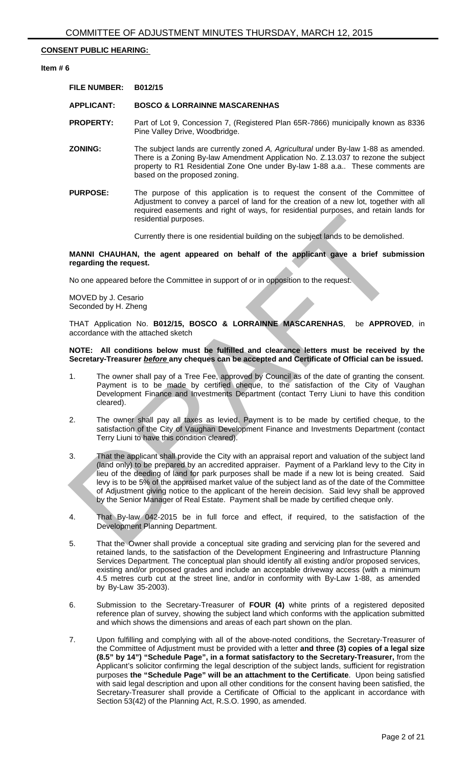### **CONSENT PUBLIC HEARING:**

#### **Item # 6**

| <b>FILE NUMBER:</b> | B012/15                                                                                                                                                                                                                                                                                   |
|---------------------|-------------------------------------------------------------------------------------------------------------------------------------------------------------------------------------------------------------------------------------------------------------------------------------------|
| <b>APPLICANT:</b>   | <b>BOSCO &amp; LORRAINNE MASCARENHAS</b>                                                                                                                                                                                                                                                  |
| <b>PROPERTY:</b>    | Part of Lot 9, Concession 7, (Registered Plan 65R-7866) municipally known as 8336<br>Pine Valley Drive, Woodbridge.                                                                                                                                                                       |
| <b>ZONING:</b>      | The subject lands are currently zoned A, Agricultural under By-law 1-88 as amended.<br>There is a Zoning By-law Amendment Application No. Z.13.037 to rezone the subject<br>property to R1 Residential Zone One under By-law 1-88 a.a These comments are<br>based on the proposed zoning. |

**PURPOSE:** The purpose of this application is to request the consent of the Committee of Adjustment to convey a parcel of land for the creation of a new lot, together with all required easements and right of ways, for residential purposes, and retain lands for residential purposes.

Currently there is one residential building on the subject lands to be demolished.

**MANNI CHAUHAN, the agent appeared on behalf of the applicant gave a brief submission regarding the request.**

No one appeared before the Committee in support of or in opposition to the request.

MOVED by J. Cesario Seconded by H. Zheng

THAT Application No. **B012/15, BOSCO & LORRAINNE MASCARENHAS**, be **APPROVED**, in accordance with the attached sketch

#### **NOTE: All conditions below must be fulfilled and clearance letters must be received by the Secretary-Treasurer** *before* **any cheques can be accepted and Certificate of Official can be issued.**

- 1. The owner shall pay of a Tree Fee, approved by Council as of the date of granting the consent. Payment is to be made by certified cheque, to the satisfaction of the City of Vaughan Development Finance and Investments Department (contact Terry Liuni to have this condition cleared).
- 2. The owner shall pay all taxes as levied. Payment is to be made by certified cheque, to the satisfaction of the City of Vaughan Development Finance and Investments Department (contact Terry Liuni to have this condition cleared).
- 3. That the applicant shall provide the City with an appraisal report and valuation of the subject land (land only) to be prepared by an accredited appraiser. Payment of a Parkland levy to the City in lieu of the deeding of land for park purposes shall be made if a new lot is being created. Said levy is to be 5% of the appraised market value of the subject land as of the date of the Committee of Adjustment giving notice to the applicant of the herein decision. Said levy shall be approved by the Senior Manager of Real Estate. Payment shall be made by certified cheque only. residential purposes.<br>
Currently there is one residential building on the subject lands to be demolished<br>
regarding the request.<br>
No one appeared before the Committee in support of or in opposition to the request.<br>
No one
- 4. That By-law 042-2015 be in full force and effect, if required, to the satisfaction of the Development Planning Department.
- 5. That the Owner shall provide a conceptual site grading and servicing plan for the severed and retained lands, to the satisfaction of the Development Engineering and Infrastructure Planning Services Department. The conceptual plan should identify all existing and/or proposed services, existing and/or proposed grades and include an acceptable driveway access (with a minimum 4.5 metres curb cut at the street line, and/or in conformity with By-Law 1-88, as amended by By-Law 35-2003).
- 6. Submission to the Secretary-Treasurer of **FOUR (4)** white prints of a registered deposited reference plan of survey, showing the subject land which conforms with the application submitted and which shows the dimensions and areas of each part shown on the plan.
- 7. Upon fulfilling and complying with all of the above-noted conditions, the Secretary-Treasurer of the Committee of Adjustment must be provided with a letter **and three (3) copies of a legal size (8.5" by 14") "Schedule Page", in a format satisfactory to the Secretary-Treasurer,** from the Applicant's solicitor confirming the legal description of the subject lands, sufficient for registration purposes **the "Schedule Page" will be an attachment to the Certificate**. Upon being satisfied with said legal description and upon all other conditions for the consent having been satisfied, the Secretary-Treasurer shall provide a Certificate of Official to the applicant in accordance with Section 53(42) of the Planning Act, R.S.O. 1990, as amended.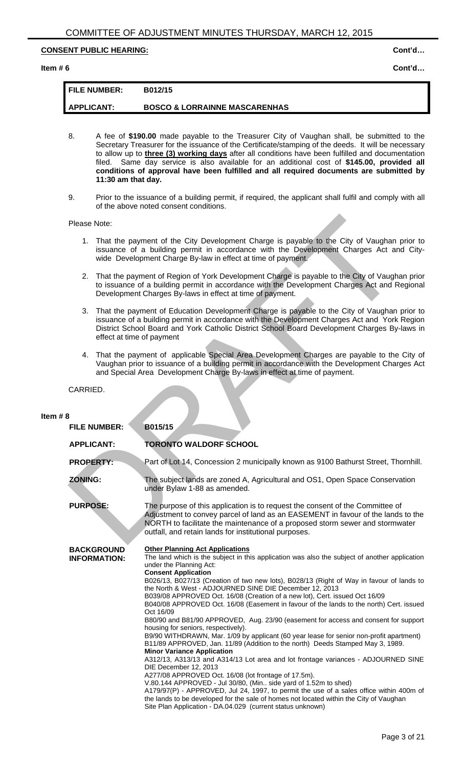# **CONSENT PUBLIC HEARING:** CONSENT PUBLIC HEARING:

#### **Item # 6 Cont'd…**

# **FILE NUMBER: B012/15 APPLICANT: BOSCO & LORRAINNE MASCARENHAS**

- 8. A fee of **\$190.00** made payable to the Treasurer City of Vaughan shall, be submitted to the Secretary Treasurer for the issuance of the Certificate/stamping of the deeds. It will be necessary to allow up to **three (3) working days** after all conditions have been fulfilled and documentation filed. Same day service is also available for an additional cost of **\$145.00, provided all conditions of approval have been fulfilled and all required documents are submitted by 11:30 am that day.**
- 9. Prior to the issuance of a building permit, if required, the applicant shall fulfil and comply with all of the above noted consent conditions.

### Please Note:

- 1. That the payment of the City Development Charge is payable to the City of Vaughan prior to issuance of a building permit in accordance with the Development Charges Act and Citywide Development Charge By-law in effect at time of payment.
- 2. That the payment of Region of York Development Charge is payable to the City of Vaughan prior to issuance of a building permit in accordance with the Development Charges Act and Regional Development Charges By-laws in effect at time of payment.
- 3. That the payment of Education Development Charge is payable to the City of Vaughan prior to issuance of a building permit in accordance with the Development Charges Act and York Region District School Board and York Catholic District School Board Development Charges By-laws in effect at time of payment
- 4. That the payment of applicable Special Area Development Charges are payable to the City of Vaughan prior to issuance of a building permit in accordance with the Development Charges Act and Special Area Development Charge By-laws in effect at time of payment.

|            | Please Note:      |                                          |                                                                                                                                                                                                                                                                                                                                                                                                                                                                                                                                                                                                                                                                                                                                                                                                                                                                                                                                                                                                                                                                                                                                                                                                                                    |
|------------|-------------------|------------------------------------------|------------------------------------------------------------------------------------------------------------------------------------------------------------------------------------------------------------------------------------------------------------------------------------------------------------------------------------------------------------------------------------------------------------------------------------------------------------------------------------------------------------------------------------------------------------------------------------------------------------------------------------------------------------------------------------------------------------------------------------------------------------------------------------------------------------------------------------------------------------------------------------------------------------------------------------------------------------------------------------------------------------------------------------------------------------------------------------------------------------------------------------------------------------------------------------------------------------------------------------|
|            |                   |                                          | 1. That the payment of the City Development Charge is payable to the City of Vaughan prior to<br>issuance of a building permit in accordance with the Development Charges Act and City-<br>wide Development Charge By-law in effect at time of payment.                                                                                                                                                                                                                                                                                                                                                                                                                                                                                                                                                                                                                                                                                                                                                                                                                                                                                                                                                                            |
|            | 2.                |                                          | That the payment of Region of York Development Charge is payable to the City of Vaughan prior<br>to issuance of a building permit in accordance with the Development Charges Act and Regional<br>Development Charges By-laws in effect at time of payment.                                                                                                                                                                                                                                                                                                                                                                                                                                                                                                                                                                                                                                                                                                                                                                                                                                                                                                                                                                         |
|            | 3.                | effect at time of payment                | That the payment of Education Development Charge is payable to the City of Vaughan prior to<br>issuance of a building permit in accordance with the Development Charges Act and York Region<br>District School Board and York Catholic District School Board Development Charges By-laws in                                                                                                                                                                                                                                                                                                                                                                                                                                                                                                                                                                                                                                                                                                                                                                                                                                                                                                                                        |
|            |                   |                                          | 4. That the payment of applicable Special Area Development Charges are payable to the City of<br>Vaughan prior to issuance of a building permit in accordance with the Development Charges Act<br>and Special Area Development Charge By-laws in effect at time of payment.                                                                                                                                                                                                                                                                                                                                                                                                                                                                                                                                                                                                                                                                                                                                                                                                                                                                                                                                                        |
|            | CARRIED.          |                                          |                                                                                                                                                                                                                                                                                                                                                                                                                                                                                                                                                                                                                                                                                                                                                                                                                                                                                                                                                                                                                                                                                                                                                                                                                                    |
|            |                   |                                          |                                                                                                                                                                                                                                                                                                                                                                                                                                                                                                                                                                                                                                                                                                                                                                                                                                                                                                                                                                                                                                                                                                                                                                                                                                    |
| Item $# 8$ |                   | <b>FILE NUMBER:</b>                      | B015/15                                                                                                                                                                                                                                                                                                                                                                                                                                                                                                                                                                                                                                                                                                                                                                                                                                                                                                                                                                                                                                                                                                                                                                                                                            |
|            | <b>APPLICANT:</b> |                                          | <b>TORONTO WALDORF SCHOOL</b>                                                                                                                                                                                                                                                                                                                                                                                                                                                                                                                                                                                                                                                                                                                                                                                                                                                                                                                                                                                                                                                                                                                                                                                                      |
|            | <b>PROPERTY:</b>  |                                          | Part of Lot 14, Concession 2 municipally known as 9100 Bathurst Street, Thornhill.                                                                                                                                                                                                                                                                                                                                                                                                                                                                                                                                                                                                                                                                                                                                                                                                                                                                                                                                                                                                                                                                                                                                                 |
|            | <b>ZONING:</b>    |                                          | The subject lands are zoned A, Agricultural and OS1, Open Space Conservation<br>under Bylaw 1-88 as amended.                                                                                                                                                                                                                                                                                                                                                                                                                                                                                                                                                                                                                                                                                                                                                                                                                                                                                                                                                                                                                                                                                                                       |
|            | <b>PURPOSE:</b>   |                                          | The purpose of this application is to request the consent of the Committee of<br>Adjustment to convey parcel of land as an EASEMENT in favour of the lands to the<br>NORTH to facilitate the maintenance of a proposed storm sewer and stormwater<br>outfall, and retain lands for institutional purposes.                                                                                                                                                                                                                                                                                                                                                                                                                                                                                                                                                                                                                                                                                                                                                                                                                                                                                                                         |
|            |                   | <b>BACKGROUND</b><br><b>INFORMATION:</b> | <b>Other Planning Act Applications</b><br>The land which is the subject in this application was also the subject of another application<br>under the Planning Act:<br><b>Consent Application</b><br>B026/13, B027/13 (Creation of two new lots), B028/13 (Right of Way in favour of lands to<br>the North & West - ADJOURNED SINE DIE December 12, 2013<br>B039/08 APPROVED Oct. 16/08 (Creation of a new lot), Cert. issued Oct 16/09<br>B040/08 APPROVED Oct. 16/08 (Easement in favour of the lands to the north) Cert. issued<br>Oct 16/09<br>B80/90 and B81/90 APPROVED, Aug. 23/90 (easement for access and consent for support<br>housing for seniors, respectively).<br>B9/90 WITHDRAWN, Mar. 1/09 by applicant (60 year lease for senior non-profit apartment)<br>B11/89 APPROVED, Jan. 11/89 (Addition to the north) Deeds Stamped May 3, 1989.<br><b>Minor Variance Application</b><br>A312/13, A313/13 and A314/13 Lot area and lot frontage variances - ADJOURNED SINE<br>DIE December 12, 2013<br>A277/08 APPROVED Oct. 16/08 (lot frontage of 17.5m).<br>V.80.144 APPROVED - Jul 30/80, (Min side yard of 1.52m to shed)<br>A179/97(P) - APPROVED, Jul 24, 1997, to permit the use of a sales office within 400m of |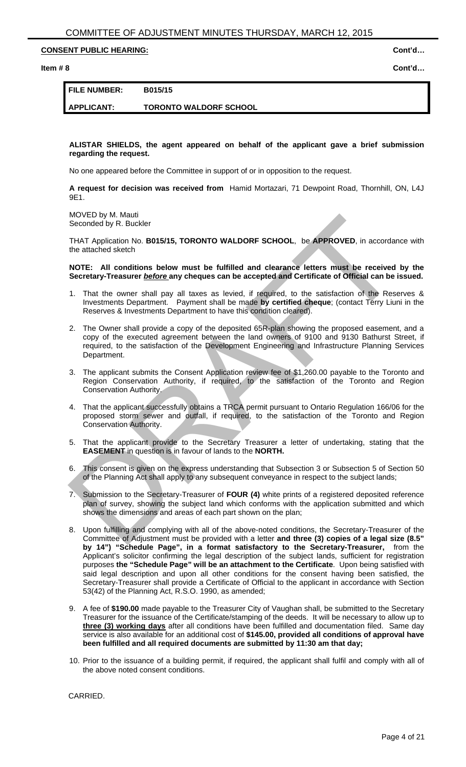# **CONSENT PUBLIC HEARING:** CONSENT PUBLIC HEARING:

**Item # 8 Cont'd…** 

# **FILE NUMBER: B015/15**

**APPLICANT: TORONTO WALDORF SCHOOL** 

**ALISTAR SHIELDS, the agent appeared on behalf of the applicant gave a brief submission regarding the request.**

No one appeared before the Committee in support of or in opposition to the request.

**A request for decision was received from** Hamid Mortazari, 71 Dewpoint Road, Thornhill, ON, L4J 9E1.

MOVED by M. Mauti Seconded by R. Buckler

THAT Application No. **B015/15, TORONTO WALDORF SCHOOL**, be **APPROVED**, in accordance with the attached sketch

**NOTE: All conditions below must be fulfilled and clearance letters must be received by the Secretary-Treasurer** *before* **any cheques can be accepted and Certificate of Official can be issued.** 

- 1. That the owner shall pay all taxes as levied, if required, to the satisfaction of the Reserves & Investments Department. Payment shall be made **by certified cheque**; (contact Terry Liuni in the Reserves & Investments Department to have this condition cleared).
- 2. The Owner shall provide a copy of the deposited 65R-plan showing the proposed easement, and a copy of the executed agreement between the land owners of 9100 and 9130 Bathurst Street, if required, to the satisfaction of the Development Engineering and Infrastructure Planning Services Department. MOVE DW Matture (Mondeleter) and the Secretary Treasurer a letter of undertainted and change the station of the APPROVED, in accordance secretary HOME THAT Application No. B015/15, TORONTO WALDORF SCHOOL, be APPROVED, in a
- 3. The applicant submits the Consent Application review fee of \$1,260.00 payable to the Toronto and Region Conservation Authority, if required, to the satisfaction of the Toronto and Region Conservation Authority.
- 4. That the applicant successfully obtains a TRCA permit pursuant to Ontario Regulation 166/06 for the proposed storm sewer and outfall, if required, to the satisfaction of the Toronto and Region Conservation Authority.
- 5. That the applicant provide to the Secretary Treasurer a letter of undertaking, stating that the **EASEMENT** in question is in favour of lands to the **NORTH.**
- 6. This consent is given on the express understanding that Subsection 3 or Subsection 5 of Section 50 of the Planning Act shall apply to any subsequent conveyance in respect to the subject lands;
- 7. Submission to the Secretary-Treasurer of **FOUR (4)** white prints of a registered deposited reference plan of survey, showing the subject land which conforms with the application submitted and which shows the dimensions and areas of each part shown on the plan;
- 8. Upon fulfilling and complying with all of the above-noted conditions, the Secretary-Treasurer of the Committee of Adjustment must be provided with a letter **and three (3) copies of a legal size (8.5" by 14") "Schedule Page", in a format satisfactory to the Secretary-Treasurer,** from the Applicant's solicitor confirming the legal description of the subject lands, sufficient for registration purposes **the "Schedule Page" will be an attachment to the Certificate**. Upon being satisfied with said legal description and upon all other conditions for the consent having been satisfied, the Secretary-Treasurer shall provide a Certificate of Official to the applicant in accordance with Section 53(42) of the Planning Act, R.S.O. 1990, as amended;
- 9. A fee of **\$190.00** made payable to the Treasurer City of Vaughan shall, be submitted to the Secretary Treasurer for the issuance of the Certificate/stamping of the deeds. It will be necessary to allow up to **three (3) working days** after all conditions have been fulfilled and documentation filed. Same day service is also available for an additional cost of **\$145.00, provided all conditions of approval have been fulfilled and all required documents are submitted by 11:30 am that day;**
- 10. Prior to the issuance of a building permit, if required, the applicant shall fulfil and comply with all of the above noted consent conditions.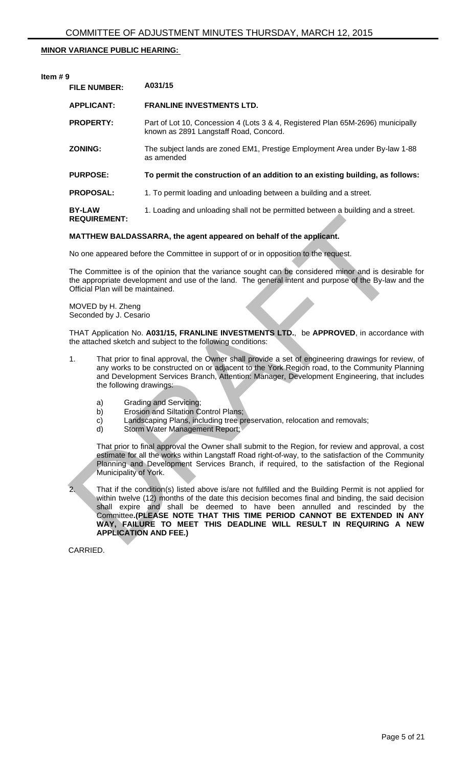# **MINOR VARIANCE PUBLIC HEARING:**

# **Item # 9 FILE NUMBER: A031/15 APPLICANT: FRANLINE INVESTMENTS LTD. PROPERTY:** Part of Lot 10, Concession 4 (Lots 3 & 4, Registered Plan 65M-2696) municipally known as 2891 Langstaff Road, Concord. **ZONING:** The subject lands are zoned EM1, Prestige Employment Area under By-law 1-88 as amended **PURPOSE: To permit the construction of an addition to an existing building, as follows: PROPOSAL:** 1. To permit loading and unloading between a building and a street. **BY-LAW REQUIREMENT:**  1. Loading and unloading shall not be permitted between a building and a street.

### **MATTHEW BALDASSARRA, the agent appeared on behalf of the applicant.**

No one appeared before the Committee in support of or in opposition to the request.

The Committee is of the opinion that the variance sought can be considered minor and is desirable for the appropriate development and use of the land. The general intent and purpose of the By-law and the Official Plan will be maintained.

MOVED by H. Zheng Seconded by J. Cesario

THAT Application No. **A031/15, FRANLINE INVESTMENTS LTD.**, be **APPROVED**, in accordance with the attached sketch and subject to the following conditions:

- 1. That prior to final approval, the Owner shall provide a set of engineering drawings for review, of any works to be constructed on or adjacent to the York Region road, to the Community Planning and Development Services Branch, Attention: Manager, Development Engineering, that includes the following drawings:
	- a) Grading and Servicing;
	- b) Erosion and Siltation Control Plans;
	- c) Landscaping Plans, including tree preservation, relocation and removals;
	- d) Storm Water Management Report;

That prior to final approval the Owner shall submit to the Region, for review and approval, a cost estimate for all the works within Langstaff Road right-of-way, to the satisfaction of the Community Planning and Development Services Branch, if required, to the satisfaction of the Regional Municipality of York.

2. That if the condition(s) listed above is/are not fulfilled and the Building Permit is not applied for within twelve (12) months of the date this decision becomes final and binding, the said decision shall expire and shall be deemed to have been annulled and rescinded by the Committee**.(PLEASE NOTE THAT THIS TIME PERIOD CANNOT BE EXTENDED IN ANY WAY, FAILURE TO MEET THIS DEADLINE WILL RESULT IN REQUIRING A NEW APPLICATION AND FEE.)**  REQUIREMENT:<br>
MATTHEW BALDASSARRA, the agent appeared on behalf of the applicant.<br>
No one appeared before the Committee in support of or in opposition to the request.<br>
The Committee is of the giant of the imaging explicit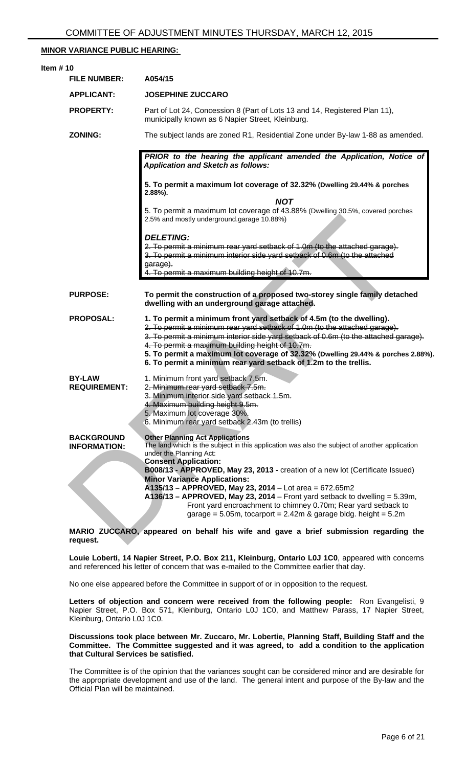# **MINOR VARIANCE PUBLIC HEARING:**

| Item $# 10$                              |                                                                                                                                                                                                                                                                                                                                                                                                                                                       |
|------------------------------------------|-------------------------------------------------------------------------------------------------------------------------------------------------------------------------------------------------------------------------------------------------------------------------------------------------------------------------------------------------------------------------------------------------------------------------------------------------------|
| <b>FILE NUMBER:</b>                      | A054/15                                                                                                                                                                                                                                                                                                                                                                                                                                               |
| <b>APPLICANT:</b>                        | <b>JOSEPHINE ZUCCARO</b>                                                                                                                                                                                                                                                                                                                                                                                                                              |
| <b>PROPERTY:</b>                         | Part of Lot 24, Concession 8 (Part of Lots 13 and 14, Registered Plan 11),<br>municipally known as 6 Napier Street, Kleinburg.                                                                                                                                                                                                                                                                                                                        |
| <b>ZONING:</b>                           | The subject lands are zoned R1, Residential Zone under By-law 1-88 as amended.                                                                                                                                                                                                                                                                                                                                                                        |
|                                          | PRIOR to the hearing the applicant amended the Application, Notice of<br><b>Application and Sketch as follows:</b>                                                                                                                                                                                                                                                                                                                                    |
|                                          | 5. To permit a maximum lot coverage of 32.32% (Dwelling 29.44% & porches<br>$2.88\%$ ).<br><b>NOT</b>                                                                                                                                                                                                                                                                                                                                                 |
|                                          | 5. To permit a maximum lot coverage of 43.88% (Dwelling 30.5%, covered porches<br>2.5% and mostly underground.garage 10.88%)                                                                                                                                                                                                                                                                                                                          |
|                                          | <b>DELETING:</b><br>2. To permit a minimum rear yard setback of 1.0m (to the attached garage).<br>3. To permit a minimum interior side yard setback of 0.6m (to the attached<br>garage).<br>4. To permit a maximum building height of 10.7m.                                                                                                                                                                                                          |
| <b>PURPOSE:</b>                          | To permit the construction of a proposed two-storey single family detached<br>dwelling with an underground garage attached.                                                                                                                                                                                                                                                                                                                           |
| <b>PROPOSAL:</b>                         | 1. To permit a minimum front yard setback of 4.5m (to the dwelling).<br>2. To permit a minimum rear yard setback of 1.0m (to the attached garage).<br>3. To permit a minimum interior side yard setback of 0.6m (to the attached garage).<br>4. To permit a maximum building height of 10.7m.<br>5. To permit a maximum lot coverage of 32.32% (Dwelling 29.44% & porches 2.88%).<br>6. To permit a minimum rear yard setback of 1.2m to the trellis. |
| <b>BY-LAW</b><br><b>REQUIREMENT:</b>     | 1. Minimum front yard setback 7.5m.<br>2. Minimum rear yard setback 7.5m.<br>3. Minimum interior side vard setback 1.5m.<br>4. Maximum building height 9.5m.<br>5. Maximum lot coverage 30%.<br>6. Minimum rear yard setback 2.43m (to trellis)                                                                                                                                                                                                       |
| <b>BACKGROUND</b><br><b>INFORMATION:</b> | <b>Other Planning Act Applications</b><br>The land which is the subject in this application was also the subject of another application<br>under the Planning Act:<br><b>Consent Application:</b><br>B008/13 - APPROVED, May 23, 2013 - creation of a new lot (Certificate Issued)                                                                                                                                                                    |
|                                          | <b>Minor Variance Applications:</b><br>A135/13 - APPROVED, May 23, 2014 - Lot area = 672.65m2<br>$A136/13 - APPROVED$ , May 23, 2014 – Front yard setback to dwelling = 5.39m,<br>Front yard encroachment to chimney 0.70m; Rear yard setback to<br>garage = $5.05m$ , tocarport = $2.42m$ & garage bldg. height = $5.2m$                                                                                                                             |
| request.                                 | MARIO ZUCCARO, appeared on behalf his wife and gave a brief submission regarding the                                                                                                                                                                                                                                                                                                                                                                  |

**Louie Loberti, 14 Napier Street, P.O. Box 211, Kleinburg, Ontario L0J 1C0**, appeared with concerns and referenced his letter of concern that was e-mailed to the Committee earlier that day.

No one else appeared before the Committee in support of or in opposition to the request.

**Letters of objection and concern were received from the following people:** Ron Evangelisti, 9 Napier Street, P.O. Box 571, Kleinburg, Ontario L0J 1C0, and Matthew Parass, 17 Napier Street, Kleinburg, Ontario L0J 1C0.

#### **Discussions took place between Mr. Zuccaro, Mr. Lobertie, Planning Staff, Building Staff and the Committee. The Committee suggested and it was agreed, to add a condition to the application that Cultural Services be satisfied.**

The Committee is of the opinion that the variances sought can be considered minor and are desirable for the appropriate development and use of the land. The general intent and purpose of the By-law and the Official Plan will be maintained.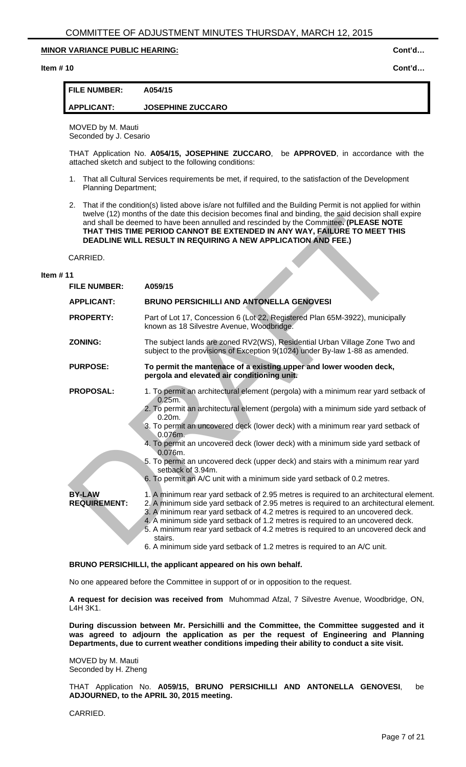**Item # 10 Cont'd…** 

### **FILE NUMBER: A054/15**

# **APPLICANT: JOSEPHINE ZUCCARO**

MOVED by M. Mauti Seconded by J. Cesario

THAT Application No. **A054/15, JOSEPHINE ZUCCARO**, be **APPROVED**, in accordance with the attached sketch and subject to the following conditions:

- 1. That all Cultural Services requirements be met, if required, to the satisfaction of the Development Planning Department;
- 2. That if the condition(s) listed above is/are not fulfilled and the Building Permit is not applied for within twelve (12) months of the date this decision becomes final and binding, the said decision shall expire and shall be deemed to have been annulled and rescinded by the Committee**. (PLEASE NOTE THAT THIS TIME PERIOD CANNOT BE EXTENDED IN ANY WAY, FAILURE TO MEET THIS DEADLINE WILL RESULT IN REQUIRING A NEW APPLICATION AND FEE.)**

#### **Item # 11**

|                                                              | tweive (12) montris of the date this decision becomes final and binding, the said decision shall explie<br>and shall be deemed to have been annulled and rescinded by the Committee. (PLEASE NOTE<br>THAT THIS TIME PERIOD CANNOT BE EXTENDED IN ANY WAY, FAILURE TO MEET THIS<br><b>DEADLINE WILL RESULT IN REQUIRING A NEW APPLICATION AND FEE.)</b>                                                                                                                                                                                                                            |  |
|--------------------------------------------------------------|-----------------------------------------------------------------------------------------------------------------------------------------------------------------------------------------------------------------------------------------------------------------------------------------------------------------------------------------------------------------------------------------------------------------------------------------------------------------------------------------------------------------------------------------------------------------------------------|--|
| CARRIED.                                                     |                                                                                                                                                                                                                                                                                                                                                                                                                                                                                                                                                                                   |  |
| 1                                                            |                                                                                                                                                                                                                                                                                                                                                                                                                                                                                                                                                                                   |  |
| <b>FILE NUMBER:</b>                                          | A059/15                                                                                                                                                                                                                                                                                                                                                                                                                                                                                                                                                                           |  |
| <b>APPLICANT:</b>                                            | <b>BRUNO PERSICHILLI AND ANTONELLA GENOVESI</b>                                                                                                                                                                                                                                                                                                                                                                                                                                                                                                                                   |  |
| <b>PROPERTY:</b>                                             | Part of Lot 17, Concession 6 (Lot 22, Registered Plan 65M-3922), municipally<br>known as 18 Silvestre Avenue, Woodbridge.                                                                                                                                                                                                                                                                                                                                                                                                                                                         |  |
| <b>ZONING:</b>                                               | The subject lands are zoned RV2(WS), Residential Urban Village Zone Two and<br>subject to the provisions of Exception 9(1024) under By-law 1-88 as amended.                                                                                                                                                                                                                                                                                                                                                                                                                       |  |
| <b>PURPOSE:</b>                                              | To permit the mantenace of a existing upper and lower wooden deck,<br>pergola and elevated air conditioning unit.                                                                                                                                                                                                                                                                                                                                                                                                                                                                 |  |
| <b>PROPOSAL:</b>                                             | 1. To permit an architectural element (pergola) with a minimum rear yard setback of<br>0.25m.<br>2. To permit an architectural element (pergola) with a minimum side yard setback of<br>$0.20m$ .<br>3. To permit an uncovered deck (lower deck) with a minimum rear yard setback of<br>0.076m.<br>4. To permit an uncovered deck (lower deck) with a minimum side yard setback of<br>0.076m.<br>5. To permit an uncovered deck (upper deck) and stairs with a minimum rear yard<br>setback of 3.94m.<br>6. To permit an A/C unit with a minimum side yard setback of 0.2 metres. |  |
| <b>BY-LAW</b><br><b>REQUIREMENT:</b>                         | 1. A minimum rear yard setback of 2.95 metres is required to an architectural element.<br>2. A minimum side yard setback of 2.95 metres is required to an architectural element.<br>3. A minimum rear yard setback of 4.2 metres is required to an uncovered deck.<br>4. A minimum side yard setback of 1.2 metres is required to an uncovered deck.<br>5. A minimum rear yard setback of 4.2 metres is required to an uncovered deck and<br>stairs.<br>6. A minimum side yard setback of 1.2 metres is required to an A/C unit.                                                  |  |
| BRUNO PERSICHILLI, the applicant appeared on his own behalf. |                                                                                                                                                                                                                                                                                                                                                                                                                                                                                                                                                                                   |  |

No one appeared before the Committee in support of or in opposition to the request.

**A request for decision was received from** Muhommad Afzal, 7 Silvestre Avenue, Woodbridge, ON, L4H 3K1.

**During discussion between Mr. Persichilli and the Committee, the Committee suggested and it was agreed to adjourn the application as per the request of Engineering and Planning Departments, due to current weather conditions impeding their ability to conduct a site visit.** 

MOVED by M. Mauti Seconded by H. Zheng

THAT Application No. **A059/15, BRUNO PERSICHILLI AND ANTONELLA GENOVESI**, be **ADJOURNED, to the APRIL 30, 2015 meeting.**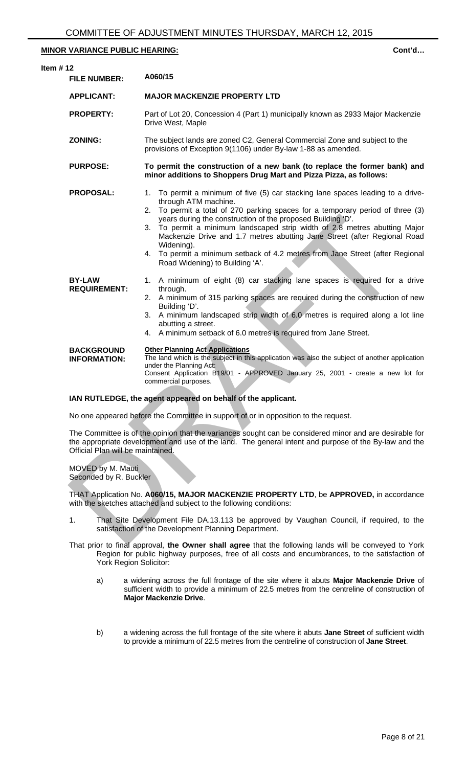| Item $# 12$ | <b>FILE NUMBER:</b>                                    | A060/15                                                                                                                                                                                                                                                                                                                                                                                                                                                                                                                                              |
|-------------|--------------------------------------------------------|------------------------------------------------------------------------------------------------------------------------------------------------------------------------------------------------------------------------------------------------------------------------------------------------------------------------------------------------------------------------------------------------------------------------------------------------------------------------------------------------------------------------------------------------------|
|             | <b>APPLICANT:</b>                                      | <b>MAJOR MACKENZIE PROPERTY LTD</b>                                                                                                                                                                                                                                                                                                                                                                                                                                                                                                                  |
|             | <b>PROPERTY:</b>                                       | Part of Lot 20, Concession 4 (Part 1) municipally known as 2933 Major Mackenzie<br>Drive West, Maple                                                                                                                                                                                                                                                                                                                                                                                                                                                 |
|             | <b>ZONING:</b>                                         | The subject lands are zoned C2, General Commercial Zone and subject to the<br>provisions of Exception 9(1106) under By-law 1-88 as amended.                                                                                                                                                                                                                                                                                                                                                                                                          |
|             | <b>PURPOSE:</b>                                        | To permit the construction of a new bank (to replace the former bank) and<br>minor additions to Shoppers Drug Mart and Pizza Pizza, as follows:                                                                                                                                                                                                                                                                                                                                                                                                      |
|             | <b>PROPOSAL:</b>                                       | 1. To permit a minimum of five (5) car stacking lane spaces leading to a drive-<br>through ATM machine.<br>2. To permit a total of 270 parking spaces for a temporary period of three (3)<br>years during the construction of the proposed Building 'D'.<br>3. To permit a minimum landscaped strip width of 2.8 metres abutting Major<br>Mackenzie Drive and 1.7 metres abutting Jane Street (after Regional Road<br>Widening).<br>4. To permit a minimum setback of 4.2 metres from Jane Street (after Regional<br>Road Widening) to Building 'A'. |
|             | <b>BY-LAW</b><br><b>REQUIREMENT:</b>                   | 1. A minimum of eight (8) car stacking lane spaces is required for a drive<br>through.<br>2. A minimum of 315 parking spaces are required during the construction of new<br>Building 'D'.<br>3. A minimum landscaped strip width of 6.0 metres is required along a lot line<br>abutting a street.<br>4. A minimum setback of 6.0 metres is required from Jane Street.                                                                                                                                                                                |
|             | <b>BACKGROUND</b><br><b>INFORMATION:</b>               | <b>Other Planning Act Applications</b><br>The land which is the subject in this application was also the subject of another application<br>under the Planning Act:<br>Consent Application B19/01 - APPROVED January 25, 2001 - create a new lot for<br>commercial purposes.                                                                                                                                                                                                                                                                          |
|             |                                                        | IAN RUTLEDGE, the agent appeared on behalf of the applicant.                                                                                                                                                                                                                                                                                                                                                                                                                                                                                         |
|             |                                                        | No one appeared before the Committee in support of or in opposition to the request.                                                                                                                                                                                                                                                                                                                                                                                                                                                                  |
|             | Official Plan will be maintained.<br>MOVED by M. Mauti | The Committee is of the opinion that the variances sought can be considered minor and are desirable for<br>the appropriate development and use of the land. The general intent and purpose of the By-law and the                                                                                                                                                                                                                                                                                                                                     |
|             | Seconded by R. Buckler                                 |                                                                                                                                                                                                                                                                                                                                                                                                                                                                                                                                                      |
|             |                                                        | THAT Application No. A060/15, MAJOR MACKENZIE PROPERTY LTD, be APPROVED, in accordance<br>with the sketches attached and subject to the following conditions:                                                                                                                                                                                                                                                                                                                                                                                        |
|             | 1.                                                     | That Site Development File DA.13.113 be approved by Vaughan Council, if required, to the<br>satisfaction of the Development Planning Department.                                                                                                                                                                                                                                                                                                                                                                                                     |
|             |                                                        | That prior to final approval the Quiner shall gares that the following lands will be conveyed to Vork                                                                                                                                                                                                                                                                                                                                                                                                                                                |

#### **IAN RUTLEDGE, the agent appeared on behalf of the applicant.**

- 1. That Site Development File DA.13.113 be approved by Vaughan Council, if required, to the satisfaction of the Development Planning Department.
- That prior to final approval, **the Owner shall agree** that the following lands will be conveyed to York Region for public highway purposes, free of all costs and encumbrances, to the satisfaction of York Region Solicitor:
	- a) a widening across the full frontage of the site where it abuts **Major Mackenzie Drive** of sufficient width to provide a minimum of 22.5 metres from the centreline of construction of **Major Mackenzie Drive**.
	- b) a widening across the full frontage of the site where it abuts **Jane Street** of sufficient width to provide a minimum of 22.5 metres from the centreline of construction of **Jane Street**.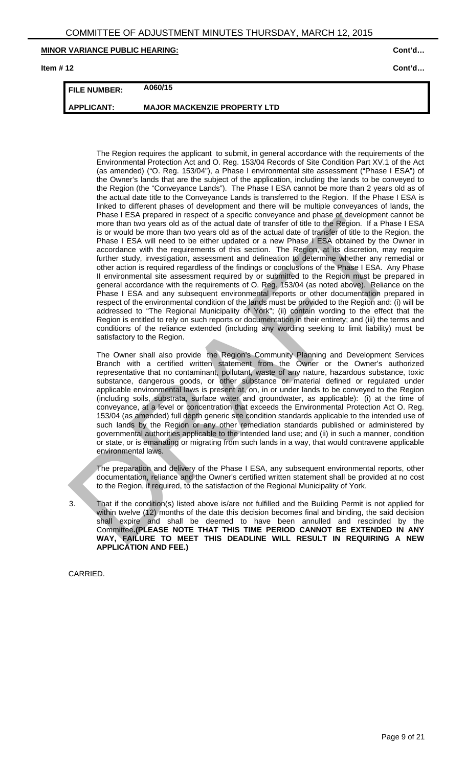**Item # 12 Cont'd…** 

# **FILE NUMBER: A060/15**

**APPLICANT: MAJOR MACKENZIE PROPERTY LTD** 

The Region requires the applicant to submit, in general accordance with the requirements of the Environmental Protection Act and O. Reg. 153/04 Records of Site Condition Part XV.1 of the Act (as amended) ("O. Reg. 153/04"), a Phase I environmental site assessment ("Phase I ESA") of the Owner's lands that are the subject of the application, including the lands to be conveyed to the Region (the "Conveyance Lands"). The Phase I ESA cannot be more than 2 years old as of the actual date title to the Conveyance Lands is transferred to the Region. If the Phase I ESA is linked to different phases of development and there will be multiple conveyances of lands, the Phase I ESA prepared in respect of a specific conveyance and phase of development cannot be more than two years old as of the actual date of transfer of title to the Region. If a Phase I ESA is or would be more than two years old as of the actual date of transfer of title to the Region, the Phase I ESA will need to be either updated or a new Phase I ESA obtained by the Owner in accordance with the requirements of this section. The Region, at its discretion, may require further study, investigation, assessment and delineation to determine whether any remedial or other action is required regardless of the findings or conclusions of the Phase I ESA. Any Phase II environmental site assessment required by or submitted to the Region must be prepared in general accordance with the requirements of O. Reg. 153/04 (as noted above). Reliance on the Phase I ESA and any subsequent environmental reports or other documentation prepared in respect of the environmental condition of the lands must be provided to the Region and: (i) will be addressed to "The Regional Municipality of York"; (ii) contain wording to the effect that the Region is entitled to rely on such reports or documentation in their entirety; and (iii) the terms and conditions of the reliance extended (including any wording seeking to limit liability) must be satisfactory to the Region. mass I ESA preparato in respect or a specific conveyance and phass at orevelopment can<br>note than two years oid as of the actual date of transfer of tile to the Region. If a Phass<br>Is or vouble more than two years oid as of

The Owner shall also provide the Region's Community Planning and Development Services Branch with a certified written statement from the Owner or the Owner's authorized representative that no contaminant, pollutant, waste of any nature, hazardous substance, toxic substance, dangerous goods, or other substance or material defined or regulated under applicable environmental laws is present at, on, in or under lands to be conveyed to the Region (including soils, substrata, surface water and groundwater, as applicable): (i) at the time of conveyance, at a level or concentration that exceeds the Environmental Protection Act O. Reg. 153/04 (as amended) full depth generic site condition standards applicable to the intended use of such lands by the Region or any other remediation standards published or administered by governmental authorities applicable to the intended land use; and (ii) in such a manner, condition or state, or is emanating or migrating from such lands in a way, that would contravene applicable environmental laws.

The preparation and delivery of the Phase I ESA, any subsequent environmental reports, other documentation, reliance and the Owner's certified written statement shall be provided at no cost to the Region, if required, to the satisfaction of the Regional Municipality of York.

3. That if the condition(s) listed above is/are not fulfilled and the Building Permit is not applied for within twelve (12) months of the date this decision becomes final and binding, the said decision shall expire and shall be deemed to have been annulled and rescinded by the Committee**.(PLEASE NOTE THAT THIS TIME PERIOD CANNOT BE EXTENDED IN ANY WAY, FAILURE TO MEET THIS DEADLINE WILL RESULT IN REQUIRING A NEW APPLICATION AND FEE.)**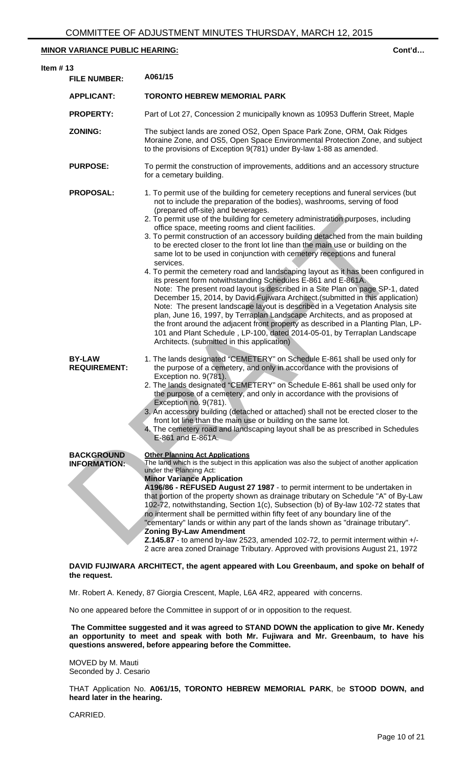| ltem # 13 | <b>FILE NUMBER:</b>                      | A061/15                                                                                                                                                                                                                                                                                                                                                                                                                                                                                                                                                                                                                                                                                                                                                                                                                                                                                                                                                                                                                                                                                                                                                                                                                                                                                                                   |
|-----------|------------------------------------------|---------------------------------------------------------------------------------------------------------------------------------------------------------------------------------------------------------------------------------------------------------------------------------------------------------------------------------------------------------------------------------------------------------------------------------------------------------------------------------------------------------------------------------------------------------------------------------------------------------------------------------------------------------------------------------------------------------------------------------------------------------------------------------------------------------------------------------------------------------------------------------------------------------------------------------------------------------------------------------------------------------------------------------------------------------------------------------------------------------------------------------------------------------------------------------------------------------------------------------------------------------------------------------------------------------------------------|
|           | <b>APPLICANT:</b>                        | <b>TORONTO HEBREW MEMORIAL PARK</b>                                                                                                                                                                                                                                                                                                                                                                                                                                                                                                                                                                                                                                                                                                                                                                                                                                                                                                                                                                                                                                                                                                                                                                                                                                                                                       |
|           | <b>PROPERTY:</b>                         | Part of Lot 27, Concession 2 municipally known as 10953 Dufferin Street, Maple                                                                                                                                                                                                                                                                                                                                                                                                                                                                                                                                                                                                                                                                                                                                                                                                                                                                                                                                                                                                                                                                                                                                                                                                                                            |
|           | <b>ZONING:</b>                           | The subject lands are zoned OS2, Open Space Park Zone, ORM, Oak Ridges<br>Moraine Zone, and OS5, Open Space Environmental Protection Zone, and subject<br>to the provisions of Exception 9(781) under By-law 1-88 as amended.                                                                                                                                                                                                                                                                                                                                                                                                                                                                                                                                                                                                                                                                                                                                                                                                                                                                                                                                                                                                                                                                                             |
|           | <b>PURPOSE:</b>                          | To permit the construction of improvements, additions and an accessory structure<br>for a cemetary building.                                                                                                                                                                                                                                                                                                                                                                                                                                                                                                                                                                                                                                                                                                                                                                                                                                                                                                                                                                                                                                                                                                                                                                                                              |
|           | <b>PROPOSAL:</b>                         | 1. To permit use of the building for cemetery receptions and funeral services (but<br>not to include the preparation of the bodies), washrooms, serving of food<br>(prepared off-site) and beverages.<br>2. To permit use of the building for cemetery administration purposes, including<br>office space, meeting rooms and client facilities.<br>3. To permit construction of an accessory building detached from the main building<br>to be erected closer to the front lot line than the main use or building on the<br>same lot to be used in conjunction with cemetery receptions and funeral<br>services.<br>4. To permit the cemetery road and landscaping layout as it has been configured in<br>its present form notwithstanding Schedules E-861 and E-861A.<br>Note: The present road layout is described in a Site Plan on page SP-1, dated<br>December 15, 2014, by David Fujiwara Architect. (submitted in this application)<br>Note: The present landscape layout is described in a Vegetation Analysis site<br>plan, June 16, 1997, by Terraplan Landscape Architects, and as proposed at<br>the front around the adjacent front property as described in a Planting Plan, LP-<br>101 and Plant Schedule, LP-100, dated 2014-05-01, by Terraplan Landscape<br>Architects. (submitted in this application) |
|           | <b>BY-LAW</b><br><b>REQUIREMENT:</b>     | 1. The lands designated "CEMETERY" on Schedule E-861 shall be used only for<br>the purpose of a cemetery, and only in accordance with the provisions of<br>Exception no. 9(781).<br>2. The lands designated "CEMETERY" on Schedule E-861 shall be used only for<br>the purpose of a cemetery, and only in accordance with the provisions of<br>Exception no. 9(781).<br>3. An accessory building (detached or attached) shall not be erected closer to the<br>front lot line than the main use or building on the same lot.<br>4. The cemetery road and landscaping layout shall be as prescribed in Schedules<br>E-861 and E-861A.                                                                                                                                                                                                                                                                                                                                                                                                                                                                                                                                                                                                                                                                                       |
|           | <b>BACKGROUND</b><br><b>INFORMATION:</b> | <b>Other Planning Act Applications</b><br>The land which is the subject in this application was also the subject of another application<br>under the Planning Act:<br><b>Minor Variance Application</b><br>A196/86 - REFUSED August 27 1987 - to permit interment to be undertaken in<br>that portion of the property shown as drainage tributary on Schedule "A" of By-Law<br>102-72, notwithstanding, Section 1(c), Subsection (b) of By-law 102-72 states that<br>no interment shall be permitted within fifty feet of any boundary line of the<br>"cementary" lands or within any part of the lands shown as "drainage tributary".<br><b>Zoning By-Law Amendment</b><br>Z.145.87 - to amend by-law 2523, amended 102-72, to permit interment within +/-<br>2 acre area zoned Drainage Tributary. Approved with provisions August 21, 1972                                                                                                                                                                                                                                                                                                                                                                                                                                                                             |
|           | the request.                             | DAVID FUJIWARA ARCHITECT, the agent appeared with Lou Greenbaum, and spoke on behalf of                                                                                                                                                                                                                                                                                                                                                                                                                                                                                                                                                                                                                                                                                                                                                                                                                                                                                                                                                                                                                                                                                                                                                                                                                                   |

Mr. Robert A. Kenedy, 87 Giorgia Crescent, Maple, L6A 4R2, appeared with concerns.

No one appeared before the Committee in support of or in opposition to the request.

 **The Committee suggested and it was agreed to STAND DOWN the application to give Mr. Kenedy an opportunity to meet and speak with both Mr. Fujiwara and Mr. Greenbaum, to have his questions answered, before appearing before the Committee.** 

MOVED by M. Mauti Seconded by J. Cesario

THAT Application No. **A061/15, TORONTO HEBREW MEMORIAL PARK**, be **STOOD DOWN, and heard later in the hearing.**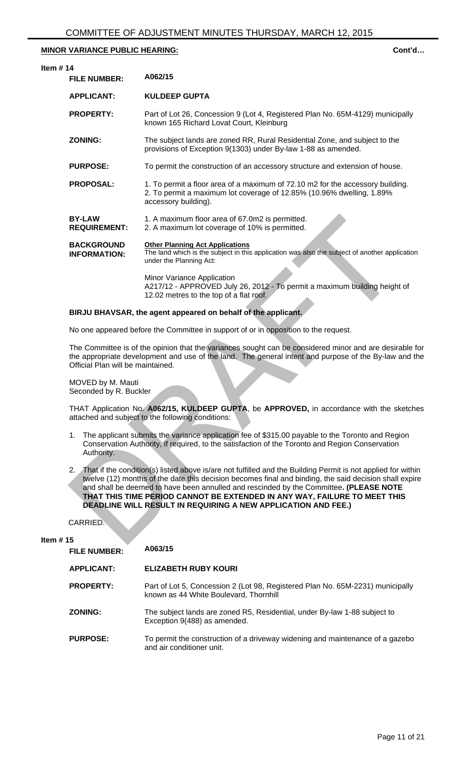**Item** 

| #14                                                                                                                                                                                                                                                                                                                                                                                                                                                                         |                                                                                                                                                                                 |  |
|-----------------------------------------------------------------------------------------------------------------------------------------------------------------------------------------------------------------------------------------------------------------------------------------------------------------------------------------------------------------------------------------------------------------------------------------------------------------------------|---------------------------------------------------------------------------------------------------------------------------------------------------------------------------------|--|
| <b>FILE NUMBER:</b>                                                                                                                                                                                                                                                                                                                                                                                                                                                         | A062/15                                                                                                                                                                         |  |
| <b>APPLICANT:</b>                                                                                                                                                                                                                                                                                                                                                                                                                                                           | <b>KULDEEP GUPTA</b>                                                                                                                                                            |  |
| <b>PROPERTY:</b>                                                                                                                                                                                                                                                                                                                                                                                                                                                            | Part of Lot 26, Concession 9 (Lot 4, Registered Plan No. 65M-4129) municipally<br>known 165 Richard Lovat Court, Kleinburg                                                      |  |
| <b>ZONING:</b>                                                                                                                                                                                                                                                                                                                                                                                                                                                              | The subject lands are zoned RR, Rural Residential Zone, and subject to the<br>provisions of Exception 9(1303) under By-law 1-88 as amended.                                     |  |
| <b>PURPOSE:</b>                                                                                                                                                                                                                                                                                                                                                                                                                                                             | To permit the construction of an accessory structure and extension of house.                                                                                                    |  |
| <b>PROPOSAL:</b>                                                                                                                                                                                                                                                                                                                                                                                                                                                            | 1. To permit a floor area of a maximum of 72.10 m2 for the accessory building.<br>2. To permit a maximum lot coverage of 12.85% (10.96% dwelling, 1.89%<br>accessory building). |  |
| <b>BY-LAW</b><br><b>REQUIREMENT:</b>                                                                                                                                                                                                                                                                                                                                                                                                                                        | 1. A maximum floor area of 67.0m2 is permitted.<br>2. A maximum lot coverage of 10% is permitted.                                                                               |  |
| <b>BACKGROUND</b><br><b>INFORMATION:</b>                                                                                                                                                                                                                                                                                                                                                                                                                                    | <b>Other Planning Act Applications</b><br>The land which is the subject in this application was also the subject of another application<br>under the Planning Act:              |  |
|                                                                                                                                                                                                                                                                                                                                                                                                                                                                             | Minor Variance Application<br>A217/12 - APPROVED July 26, 2012 - To permit a maximum building height of<br>12.02 metres to the top of a flat roof.                              |  |
|                                                                                                                                                                                                                                                                                                                                                                                                                                                                             | BIRJU BHAVSAR, the agent appeared on behalf of the applicant.                                                                                                                   |  |
|                                                                                                                                                                                                                                                                                                                                                                                                                                                                             | No one appeared before the Committee in support of or in opposition to the request.                                                                                             |  |
| The Committee is of the opinion that the variances sought can be considered minor and are desirable for<br>the appropriate development and use of the land. The general intent and purpose of the By-law and th<br>Official Plan will be maintained.                                                                                                                                                                                                                        |                                                                                                                                                                                 |  |
| MOVED by M. Mauti<br>Seconded by R. Buckler                                                                                                                                                                                                                                                                                                                                                                                                                                 |                                                                                                                                                                                 |  |
| THAT Application No. A062/15, KULDEEP GUPTA, be APPROVED, in accordance with the sketche<br>attached and subject to the following conditions:                                                                                                                                                                                                                                                                                                                               |                                                                                                                                                                                 |  |
| 1. The applicant submits the variance application fee of \$315.00 payable to the Toronto and Region<br>Conservation Authority, if required, to the satisfaction of the Toronto and Region Conservation<br>Authority.                                                                                                                                                                                                                                                        |                                                                                                                                                                                 |  |
| That if the condition(s) listed above is/are not fulfilled and the Building Permit is not applied for within<br>2.<br>twelve (12) months of the date this decision becomes final and binding, the said decision shall expire<br>and shall be deemed to have been annulled and rescinded by the Committee. (PLEASE NOTE<br>THAT THIS TIME PERIOD CANNOT BE EXTENDED IN ANY WAY, FAILURE TO MEET THIS<br><b>DEADLINE WILL RESULT IN REQUIRING A NEW APPLICATION AND FEE.)</b> |                                                                                                                                                                                 |  |
| CARRIED.                                                                                                                                                                                                                                                                                                                                                                                                                                                                    |                                                                                                                                                                                 |  |
| # 15                                                                                                                                                                                                                                                                                                                                                                                                                                                                        |                                                                                                                                                                                 |  |

# **BIRJU BHAVSAR, the agent appeared on behalf of the applicant.**

- 1. The applicant submits the variance application fee of \$315.00 payable to the Toronto and Region Conservation Authority, if required, to the satisfaction of the Toronto and Region Conservation Authority.
- 2. That if the condition(s) listed above is/are not fulfilled and the Building Permit is not applied for within twelve (12) months of the date this decision becomes final and binding, the said decision shall expire and shall be deemed to have been annulled and rescinded by the Committee**. (PLEASE NOTE THAT THIS TIME PERIOD CANNOT BE EXTENDED IN ANY WAY, FAILURE TO MEET THIS DEADLINE WILL RESULT IN REQUIRING A NEW APPLICATION AND FEE.)**

### **Item # 15**

| <b>FILE NUMBER:</b> | A063/15                                                                                                                  |
|---------------------|--------------------------------------------------------------------------------------------------------------------------|
| <b>APPLICANT:</b>   | <b>ELIZABETH RUBY KOURI</b>                                                                                              |
| <b>PROPERTY:</b>    | Part of Lot 5, Concession 2 (Lot 98, Registered Plan No. 65M-2231) municipally<br>known as 44 White Boulevard, Thornhill |
| ZONING:             | The subject lands are zoned R5, Residential, under By-law 1-88 subject to<br>Exception 9(488) as amended.                |
| <b>PURPOSE:</b>     | To permit the construction of a driveway widening and maintenance of a gazebo<br>and air conditioner unit.               |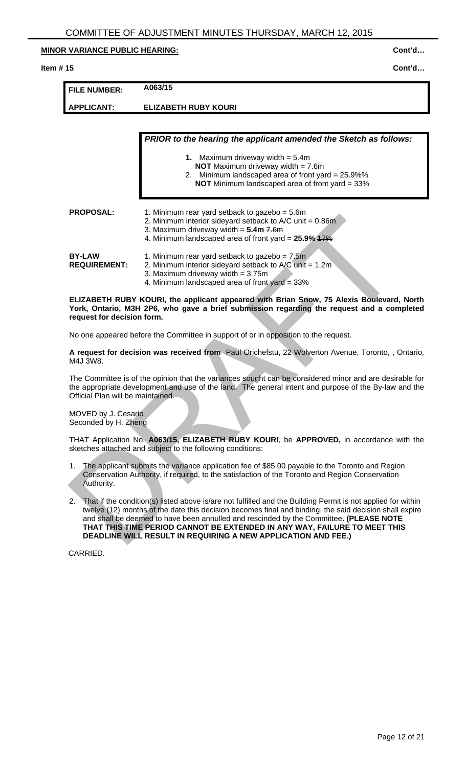#### **Item # 15 Cont'd…**

| <b>FILE NUMBER:</b>                                                                                                                                                                                                                                                                                                                                                                                                                                                  | A063/15                                                                                                                                                                                                          |  |
|----------------------------------------------------------------------------------------------------------------------------------------------------------------------------------------------------------------------------------------------------------------------------------------------------------------------------------------------------------------------------------------------------------------------------------------------------------------------|------------------------------------------------------------------------------------------------------------------------------------------------------------------------------------------------------------------|--|
| <b>APPLICANT:</b>                                                                                                                                                                                                                                                                                                                                                                                                                                                    | <b>ELIZABETH RUBY KOURI</b>                                                                                                                                                                                      |  |
|                                                                                                                                                                                                                                                                                                                                                                                                                                                                      |                                                                                                                                                                                                                  |  |
|                                                                                                                                                                                                                                                                                                                                                                                                                                                                      | PRIOR to the hearing the applicant amended the Sketch as follows:                                                                                                                                                |  |
|                                                                                                                                                                                                                                                                                                                                                                                                                                                                      | 1. Maximum driveway width $= 5.4$ m                                                                                                                                                                              |  |
|                                                                                                                                                                                                                                                                                                                                                                                                                                                                      | <b>NOT</b> Maximum driveway width = $7.6m$<br>2. Minimum landscaped area of front yard = 25.9%%                                                                                                                  |  |
|                                                                                                                                                                                                                                                                                                                                                                                                                                                                      | NOT Minimum landscaped area of front yard = 33%                                                                                                                                                                  |  |
| <b>PROPOSAL:</b>                                                                                                                                                                                                                                                                                                                                                                                                                                                     | 1. Minimum rear yard setback to gazebo = 5.6m<br>2. Minimum interior sideyard setback to $A/C$ unit = 0.86m<br>3. Maximum driveway width = $5.4m$ $7.6m$<br>4. Minimum landscaped area of front yard = 25.9% 47% |  |
| <b>BY-LAW</b><br><b>REQUIREMENT:</b>                                                                                                                                                                                                                                                                                                                                                                                                                                 | 1. Minimum rear yard setback to gazebo = $7.5m$<br>2. Minimum interior sideyard setback to $A/C$ unit = 1.2m<br>3. Maximum driveway width $= 3.75$ m<br>4. Minimum landscaped area of front yard = 33%           |  |
| ELIZABETH RUBY KOURI, the applicant appeared with Brian Snow, 75 Alexis Boulevard, North<br>York, Ontario, M3H 2P6, who gave a brief submission regarding the request and a completed<br>request for decision form.                                                                                                                                                                                                                                                  |                                                                                                                                                                                                                  |  |
|                                                                                                                                                                                                                                                                                                                                                                                                                                                                      | No one appeared before the Committee in support of or in opposition to the request.                                                                                                                              |  |
| A request for decision was received from Paul Orichefstu, 22 Wolverton Avenue, Toronto, , Ontario,<br>M4J 3W8.                                                                                                                                                                                                                                                                                                                                                       |                                                                                                                                                                                                                  |  |
| The Committee is of the opinion that the variances sought can be considered minor and are desirable for<br>the appropriate development and use of the land. The general intent and purpose of the By-law and the<br>Official Plan will be maintained.                                                                                                                                                                                                                |                                                                                                                                                                                                                  |  |
| MOVED by J. Cesario<br>Seconded by H. Zheng                                                                                                                                                                                                                                                                                                                                                                                                                          |                                                                                                                                                                                                                  |  |
| THAT Application No. A063/15, ELIZABETH RUBY KOURI, be APPROVED, in accordance with the<br>sketches attached and subject to the following conditions:                                                                                                                                                                                                                                                                                                                |                                                                                                                                                                                                                  |  |
| The applicant submits the variance application fee of \$85.00 payable to the Toronto and Region<br>1.<br>Conservation Authority, if required, to the satisfaction of the Toronto and Region Conservation<br>Authority.                                                                                                                                                                                                                                               |                                                                                                                                                                                                                  |  |
| That if the condition(s) listed above is/are not fulfilled and the Building Permit is not applied for within<br>2.<br>twelve (12) months of the date this decision becomes final and binding, the said decision shall expire<br>and shall be deemed to have been annulled and rescinded by the Committee. (PLEASE NOTE<br>THAT THIS TIME PERIOD CANNOT BE EXTENDED IN ANY WAY, FAILURE TO MEET THIS<br>DEADLINE WILL RESULT IN REQUIRING A NEW APPLICATION AND FEE.) |                                                                                                                                                                                                                  |  |

- 1. The applicant submits the variance application fee of \$85.00 payable to the Toronto and Region Conservation Authority, if required, to the satisfaction of the Toronto and Region Conservation Authority.
- 2. That if the condition(s) listed above is/are not fulfilled and the Building Permit is not applied for within twelve (12) months of the date this decision becomes final and binding, the said decision shall expire and shall be deemed to have been annulled and rescinded by the Committee**. (PLEASE NOTE THAT THIS TIME PERIOD CANNOT BE EXTENDED IN ANY WAY, FAILURE TO MEET THIS DEADLINE WILL RESULT IN REQUIRING A NEW APPLICATION AND FEE.)**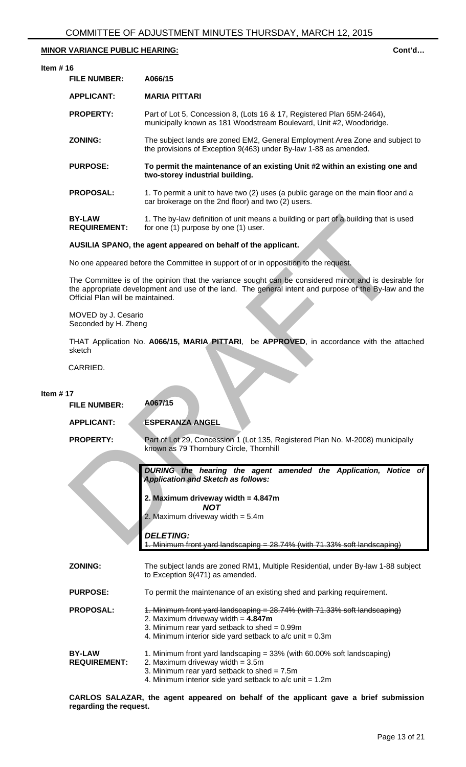#### **Item # 16**

| <b>FILE NUMBER:</b>                  | A066/15                                                                                                                                          |
|--------------------------------------|--------------------------------------------------------------------------------------------------------------------------------------------------|
| <b>APPLICANT:</b>                    | <b>MARIA PITTARI</b>                                                                                                                             |
| <b>PROPERTY:</b>                     | Part of Lot 5, Concession 8, (Lots 16 & 17, Registered Plan 65M-2464),<br>municipally known as 181 Woodstream Boulevard, Unit #2, Woodbridge.    |
| <b>ZONING:</b>                       | The subject lands are zoned EM2, General Employment Area Zone and subject to<br>the provisions of Exception 9(463) under By-law 1-88 as amended. |
| <b>PURPOSE:</b>                      | To permit the maintenance of an existing Unit #2 within an existing one and<br>two-storey industrial building.                                   |
| <b>PROPOSAL:</b>                     | 1. To permit a unit to have two (2) uses (a public garage on the main floor and a<br>car brokerage on the 2nd floor) and two (2) users.          |
| <b>BY-LAW</b><br><b>REQUIREMENT:</b> | 1. The by-law definition of unit means a building or part of a building that is used<br>for one (1) purpose by one (1) user.                     |

#### **AUSILIA SPANO, the agent appeared on behalf of the applicant.**

|             | <b>BY-LAW</b><br><b>REQUIREMENT:</b>                                                | 1. The by-law definition of unit means a building or part of a building that is used<br>for one (1) purpose by one (1) user.                                                                                                      |  |
|-------------|-------------------------------------------------------------------------------------|-----------------------------------------------------------------------------------------------------------------------------------------------------------------------------------------------------------------------------------|--|
|             |                                                                                     | AUSILIA SPANO, the agent appeared on behalf of the applicant.                                                                                                                                                                     |  |
|             | No one appeared before the Committee in support of or in opposition to the request. |                                                                                                                                                                                                                                   |  |
|             | Official Plan will be maintained.                                                   | The Committee is of the opinion that the variance sought can be considered minor and is desirable for<br>the appropriate development and use of the land. The general intent and purpose of the By-law and the                    |  |
|             | MOVED by J. Cesario<br>Seconded by H. Zheng                                         |                                                                                                                                                                                                                                   |  |
|             | sketch                                                                              | THAT Application No. A066/15, MARIA PITTARI, be APPROVED, in accordance with the attached                                                                                                                                         |  |
|             | CARRIED.                                                                            |                                                                                                                                                                                                                                   |  |
| Item $# 17$ |                                                                                     |                                                                                                                                                                                                                                   |  |
|             | <b>FILE NUMBER:</b>                                                                 | A067/15                                                                                                                                                                                                                           |  |
|             | <b>APPLICANT:</b>                                                                   | <b>ESPERANZA ANGEL</b>                                                                                                                                                                                                            |  |
|             | <b>PROPERTY:</b>                                                                    | Part of Lot 29, Concession 1 (Lot 135, Registered Plan No. M-2008) municipally<br>known as 79 Thornbury Circle, Thornhill                                                                                                         |  |
|             |                                                                                     | DURING the hearing the agent amended the Application, Notice of<br><b>Application and Sketch as follows:</b>                                                                                                                      |  |
|             |                                                                                     | 2. Maximum driveway width = $4.847m$                                                                                                                                                                                              |  |
|             |                                                                                     | <b>NOT</b><br>2. Maximum driveway width $= 5.4$ m                                                                                                                                                                                 |  |
|             |                                                                                     | <b>DELETING:</b><br>Minimum front yard landscaping = 28.74% (with 71.33% soft landscaping)                                                                                                                                        |  |
|             | <b>ZONING:</b>                                                                      | The subject lands are zoned RM1, Multiple Residential, under By-law 1-88 subject<br>to Exception 9(471) as amended.                                                                                                               |  |
|             | <b>PURPOSE:</b>                                                                     | To permit the maintenance of an existing shed and parking requirement.                                                                                                                                                            |  |
|             | <b>PROPOSAL:</b>                                                                    | 1. Minimum front yard landscaping = 28.74% (with 71.33% soft landscaping)<br>2. Maximum driveway width $= 4.847m$<br>3. Minimum rear yard setback to shed = $0.99m$<br>4. Minimum interior side yard setback to $a/c$ unit = 0.3m |  |
|             | <b>BY-LAW</b><br><b>REQUIREMENT:</b>                                                | 1. Minimum front yard landscaping = 33% (with 60.00% soft landscaping)<br>2. Maximum driveway width = 3.5m<br>3. Minimum rear yard setback to shed = $7.5m$<br>4. Minimum interior side yard setback to $a/c$ unit = 1.2m         |  |

**CARLOS SALAZAR, the agent appeared on behalf of the applicant gave a brief submission regarding the request.**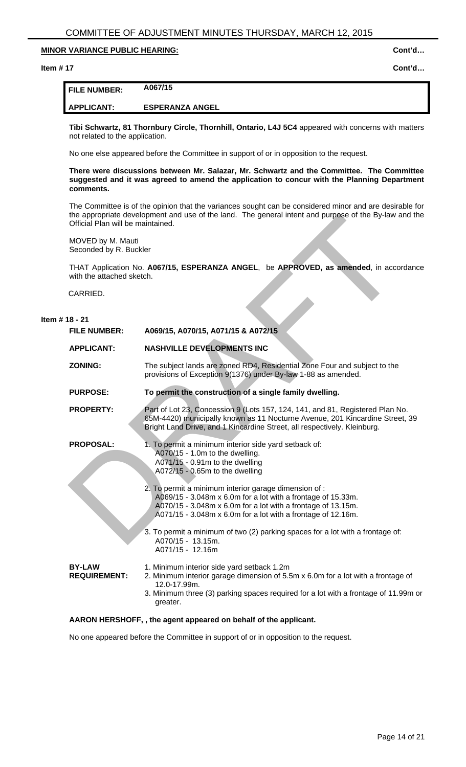#### **Item # 17 Cont'd…**

# **FILE NUMBER: A067/15**

**APPLICANT: ESPERANZA ANGEL** 

**Tibi Schwartz, 81 Thornbury Circle, Thornhill, Ontario, L4J 5C4** appeared with concerns with matters not related to the application.

No one else appeared before the Committee in support of or in opposition to the request.

**There were discussions between Mr. Salazar, Mr. Schwartz and the Committee. The Committee suggested and it was agreed to amend the application to concur with the Planning Department comments.** 

The Committee is of the opinion that the variances sought can be considered minor and are desirable for the appropriate development and use of the land. The general intent and purpose of the By-law and the Official Plan will be maintained.

MOVED by M. Mauti Seconded by R. Buckler

THAT Application No. **A067/15, ESPERANZA ANGEL**, be **APPROVED, as amended**, in accordance with the attached sketch.

CARRIED.

# **Item # 18 - 21 FILE NUMBER: A069/15, A070/15, A071/15 & A072/15 APPLICANT: NASHVILLE DEVELOPMENTS INC ZONING:** The subject lands are zoned RD4, Residential Zone Four and subject to the provisions of Exception 9(1376) under By-law 1-88 as amended. **PURPOSE: To permit the construction of a single family dwelling. PROPERTY:** Part of Lot 23, Concession 9 (Lots 157, 124, 141, and 81, Registered Plan No. 65M-4420) municipally known as 11 Nocturne Avenue, 201 Kincardine Street, 39 Bright Land Drive, and 1 Kincardine Street, all respectively. Kleinburg. **PROPOSAL:** 1. To permit a minimum interior side yard setback of: A070/15 - 1.0m to the dwelling. A071/15 - 0.91m to the dwelling A072/15 - 0.65m to the dwelling 2. To permit a minimum interior garage dimension of : A069/15 - 3.048m x 6.0m for a lot with a frontage of 15.33m. A070/15 - 3.048m x 6.0m for a lot with a frontage of 13.15m. A071/15 - 3.048m x 6.0m for a lot with a frontage of 12.16m. 3. To permit a minimum of two (2) parking spaces for a lot with a frontage of: A070/15 - 13.15m. A071/15 - 12.16m **BY-LAW REQUIREMENT:**  1. Minimum interior side yard setback 1.2m 2. Minimum interior garage dimension of 5.5m x 6.0m for a lot with a frontage of 12.0-17.99m. 3. Minimum three (3) parking spaces required for a lot with a frontage of 11.99m or greater. the appropriate overlopment and use of the simulation of the special method of the sy-law<br>
Drivelal Plan will be maintained.<br>
MOVED by M. Mauti<br>
Seconded by R. Buckler<br>
with the attached sketch.<br>
White atternal detect.<br>
CA

## **AARON HERSHOFF, , the agent appeared on behalf of the applicant.**

No one appeared before the Committee in support of or in opposition to the request.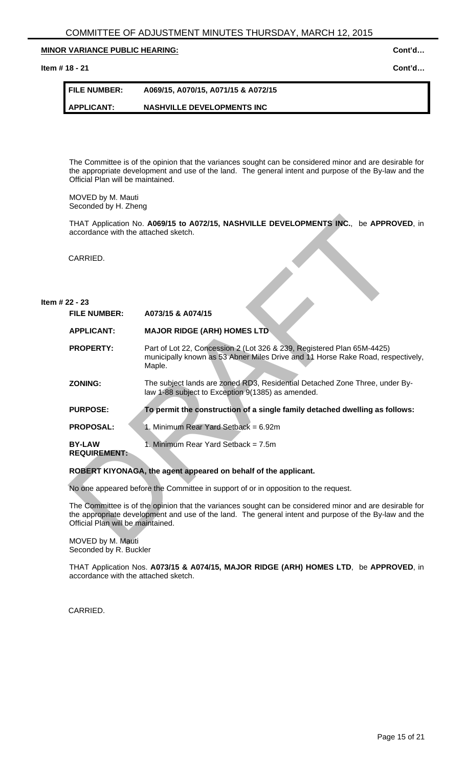# **Item # 18 - 21** Cont'd...

| <b>FILE NUMBER:</b> | A069/15, A070/15, A071/15 & A072/15 |
|---------------------|-------------------------------------|
| <b>APPLICANT:</b>   | <b>NASHVILLE DEVELOPMENTS INC</b>   |

The Committee is of the opinion that the variances sought can be considered minor and are desirable for the appropriate development and use of the land. The general intent and purpose of the By-law and the Official Plan will be maintained.

MOVED by M. Mauti Seconded by H. Zheng

# **Item # 22 - 23**

| accordance with the attached sketch. | THAT Application No. A069/15 to A072/15, NASHVILLE DEVELOPMENTS INC., be APPROVED, in                                                                                                                            |
|--------------------------------------|------------------------------------------------------------------------------------------------------------------------------------------------------------------------------------------------------------------|
| CARRIED.                             |                                                                                                                                                                                                                  |
| 22 - 23                              |                                                                                                                                                                                                                  |
| <b>FILE NUMBER:</b>                  | A073/15 & A074/15                                                                                                                                                                                                |
| <b>APPLICANT:</b>                    | <b>MAJOR RIDGE (ARH) HOMES LTD</b>                                                                                                                                                                               |
| <b>PROPERTY:</b>                     | Part of Lot 22, Concession 2 (Lot 326 & 239, Registered Plan 65M-4425)<br>municipally known as 53 Abner Miles Drive and 11 Horse Rake Road, respectively,<br>Maple.                                              |
| <b>ZONING:</b>                       | The subject lands are zoned RD3, Residential Detached Zone Three, under By-<br>law 1-88 subject to Exception 9(1385) as amended.                                                                                 |
| <b>PURPOSE:</b>                      | To permit the construction of a single family detached dwelling as follows:                                                                                                                                      |
| <b>PROPOSAL:</b>                     | 1. Minimum Rear Yard Setback = 6.92m                                                                                                                                                                             |
| <b>BY-LAW</b><br><b>REQUIREMENT:</b> | 1. Minimum Rear Yard Setback = 7.5m                                                                                                                                                                              |
|                                      | ROBERT KIYONAGA, the agent appeared on behalf of the applicant.                                                                                                                                                  |
|                                      | No one appeared before the Committee in support of or in opposition to the request.                                                                                                                              |
| Official Plan will be maintained.    | The Committee is of the opinion that the variances sought can be considered minor and are desirable for<br>the appropriate development and use of the land. The general intent and purpose of the By-law and the |
| MOVED by M. Mauti                    |                                                                                                                                                                                                                  |

# **ROBERT KIYONAGA, the agent appeared on behalf of the applicant.**

MOVED by M. Mauti Seconded by R. Buckler

THAT Application Nos. **A073/15 & A074/15, MAJOR RIDGE (ARH) HOMES LTD**, be **APPROVED**, in accordance with the attached sketch.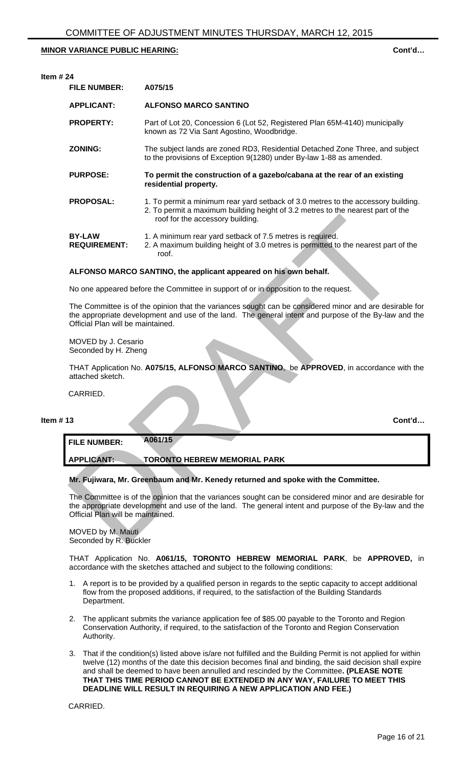| <b>FILE NUMBER:</b>                         | A075/15                                                                                                                                                                                                          |
|---------------------------------------------|------------------------------------------------------------------------------------------------------------------------------------------------------------------------------------------------------------------|
| <b>APPLICANT:</b>                           | <b>ALFONSO MARCO SANTINO</b>                                                                                                                                                                                     |
| <b>PROPERTY:</b>                            | Part of Lot 20, Concession 6 (Lot 52, Registered Plan 65M-4140) municipally<br>known as 72 Via Sant Agostino, Woodbridge.                                                                                        |
| <b>ZONING:</b>                              | The subject lands are zoned RD3, Residential Detached Zone Three, and subject<br>to the provisions of Exception 9(1280) under By-law 1-88 as amended.                                                            |
| <b>PURPOSE:</b>                             | To permit the construction of a gazebo/cabana at the rear of an existing<br>residential property.                                                                                                                |
| <b>PROPOSAL:</b>                            | 1. To permit a minimum rear yard setback of 3.0 metres to the accessory building.<br>2. To permit a maximum building height of 3.2 metres to the nearest part of the<br>roof for the accessory building.         |
| <b>BY-LAW</b><br><b>REQUIREMENT:</b>        | 1. A minimum rear yard setback of 7.5 metres is required.<br>2. A maximum building height of 3.0 metres is permitted to the nearest part of the<br>roof.                                                         |
|                                             | ALFONSO MARCO SANTINO, the applicant appeared on his own behalf.                                                                                                                                                 |
|                                             | No one appeared before the Committee in support of or in opposition to the request.                                                                                                                              |
| Official Plan will be maintained.           | The Committee is of the opinion that the variances sought can be considered minor and are desirable for<br>the appropriate development and use of the land. The general intent and purpose of the By-law and the |
| MOVED by J. Cesario<br>Seconded by H. Zheng |                                                                                                                                                                                                                  |
| attached sketch.                            | THAT Application No. A075/15, ALFONSO MARCO SANTINO, be APPROVED, in accordance with the                                                                                                                         |
| CARRIED.                                    |                                                                                                                                                                                                                  |
| 13                                          | Cont'd                                                                                                                                                                                                           |
| <b>FILE NUMBER:</b>                         | A061/15                                                                                                                                                                                                          |
| <b>APPLICANT:</b>                           | <b>TORONTO HEBREW MEMORIAL PARK</b>                                                                                                                                                                              |
|                                             | Mr. Fujiwara, Mr. Greenbaum and Mr. Kenedy returned and spoke with the Committee.                                                                                                                                |
| Official Plan will be maintained.           | The Committee is of the opinion that the variances sought can be considered minor and are desirable for<br>the appropriate development and use of the land. The general intent and purpose of the By-law and the |
| MOVED by M. Mauti<br>Seconded by R. Buckler |                                                                                                                                                                                                                  |

## **ALFONSO MARCO SANTINO, the applicant appeared on his own behalf.**

**Item # 13 Cont'd…** 

THAT Application No. **A061/15, TORONTO HEBREW MEMORIAL PARK**, be **APPROVED,** in accordance with the sketches attached and subject to the following conditions:

- 1. A report is to be provided by a qualified person in regards to the septic capacity to accept additional flow from the proposed additions, if required, to the satisfaction of the Building Standards Department.
- 2. The applicant submits the variance application fee of \$85.00 payable to the Toronto and Region Conservation Authority, if required, to the satisfaction of the Toronto and Region Conservation Authority.
- 3. That if the condition(s) listed above is/are not fulfilled and the Building Permit is not applied for within twelve (12) months of the date this decision becomes final and binding, the said decision shall expire and shall be deemed to have been annulled and rescinded by the Committee**. (PLEASE NOTE THAT THIS TIME PERIOD CANNOT BE EXTENDED IN ANY WAY, FAILURE TO MEET THIS DEADLINE WILL RESULT IN REQUIRING A NEW APPLICATION AND FEE.)**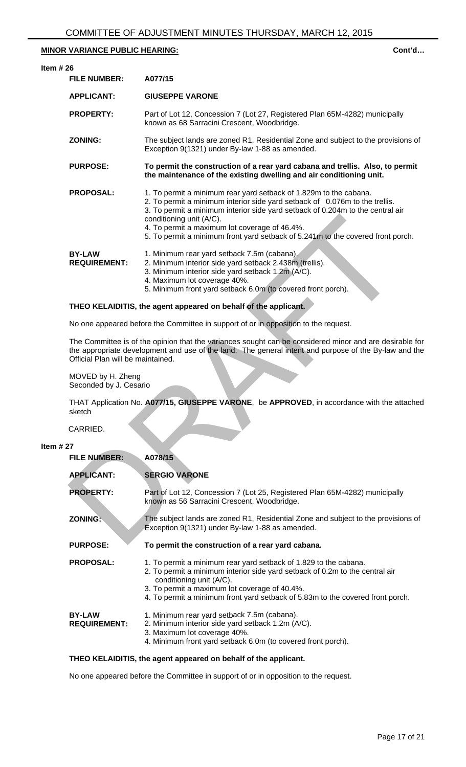| Item $#26$                           |                                                                                                                                                                                                                                                                                                                                                                                                    |
|--------------------------------------|----------------------------------------------------------------------------------------------------------------------------------------------------------------------------------------------------------------------------------------------------------------------------------------------------------------------------------------------------------------------------------------------------|
| <b>FILE NUMBER:</b>                  | A077/15                                                                                                                                                                                                                                                                                                                                                                                            |
| <b>APPLICANT:</b>                    | <b>GIUSEPPE VARONE</b>                                                                                                                                                                                                                                                                                                                                                                             |
| <b>PROPERTY:</b>                     | Part of Lot 12, Concession 7 (Lot 27, Registered Plan 65M-4282) municipally<br>known as 68 Sarracini Crescent, Woodbridge.                                                                                                                                                                                                                                                                         |
| <b>ZONING:</b>                       | The subject lands are zoned R1, Residential Zone and subject to the provisions of<br>Exception 9(1321) under By-law 1-88 as amended.                                                                                                                                                                                                                                                               |
| <b>PURPOSE:</b>                      | To permit the construction of a rear yard cabana and trellis. Also, to permit<br>the maintenance of the existing dwelling and air conditioning unit.                                                                                                                                                                                                                                               |
| <b>PROPOSAL:</b>                     | 1. To permit a minimum rear yard setback of 1.829m to the cabana.<br>2. To permit a minimum interior side yard setback of 0.076m to the trellis.<br>3. To permit a minimum interior side yard setback of 0.204m to the central air<br>conditioning unit (A/C).<br>4. To permit a maximum lot coverage of 46.4%.<br>5. To permit a minimum front yard setback of 5.241m to the covered front porch. |
| <b>BY-LAW</b><br><b>REQUIREMENT:</b> | 1. Minimum rear yard setback 7.5m (cabana).<br>2. Minimum interior side yard setback 2.438m (trellis).<br>3. Minimum interior side yard setback 1.2m (A/C).<br>4. Maximum lot coverage 40%.<br>5. Minimum front yard setback 6.0m (to covered front porch).                                                                                                                                        |

# **THEO KELAIDITIS, the agent appeared on behalf of the applicant.**

# **Item # 27**

|                                             | conditioning unit (A/C).<br>4. To permit a maximum lot coverage of 46.4%.<br>5. To permit a minimum front yard setback of 5.241m to the covered front porch.                                                                                                                                                    |
|---------------------------------------------|-----------------------------------------------------------------------------------------------------------------------------------------------------------------------------------------------------------------------------------------------------------------------------------------------------------------|
| <b>BY-LAW</b><br><b>REQUIREMENT:</b>        | 1. Minimum rear yard setback 7.5m (cabana).<br>2. Minimum interior side yard setback 2.438m (trellis).<br>3. Minimum interior side yard setback 1.2m (A/C).<br>4. Maximum lot coverage 40%.<br>5. Minimum front yard setback 6.0m (to covered front porch).                                                     |
|                                             | THEO KELAIDITIS, the agent appeared on behalf of the applicant.                                                                                                                                                                                                                                                 |
|                                             | No one appeared before the Committee in support of or in opposition to the request.                                                                                                                                                                                                                             |
| Official Plan will be maintained.           | The Committee is of the opinion that the variances sought can be considered minor and are desirable for<br>the appropriate development and use of the land. The general intent and purpose of the By-law and the                                                                                                |
| MOVED by H. Zheng<br>Seconded by J. Cesario |                                                                                                                                                                                                                                                                                                                 |
| sketch                                      | THAT Application No. A077/15, GIUSEPPE VARONE, be APPROVED, in accordance with the attached                                                                                                                                                                                                                     |
| CARRIED.                                    |                                                                                                                                                                                                                                                                                                                 |
| 27                                          |                                                                                                                                                                                                                                                                                                                 |
| <b>FILE NUMBER:</b>                         | A078/15                                                                                                                                                                                                                                                                                                         |
| <b>APPLICANT:</b>                           | <b>SERGIO VARONE</b>                                                                                                                                                                                                                                                                                            |
| <b>PROPERTY:</b>                            | Part of Lot 12, Concession 7 (Lot 25, Registered Plan 65M-4282) municipally<br>known as 56 Sarracini Crescent, Woodbridge.                                                                                                                                                                                      |
| <b>ZONING:</b>                              | The subject lands are zoned R1, Residential Zone and subject to the provisions of<br>Exception 9(1321) under By-law 1-88 as amended.                                                                                                                                                                            |
| <b>PURPOSE:</b>                             | To permit the construction of a rear yard cabana.                                                                                                                                                                                                                                                               |
| <b>PROPOSAL:</b>                            | 1. To permit a minimum rear yard setback of 1.829 to the cabana.<br>2. To permit a minimum interior side yard setback of 0.2m to the central air<br>conditioning unit (A/C).<br>3. To permit a maximum lot coverage of 40.4%.<br>4. To permit a minimum front yard setback of 5.83m to the covered front porch. |
| <b>BY-LAW</b><br><b>REQUIREMENT:</b>        | 1. Minimum rear yard setback 7.5m (cabana).<br>2. Minimum interior side yard setback 1.2m (A/C).<br>3. Maximum lot coverage 40%.<br>4. Minimum front yard setback 6.0m (to covered front porch).                                                                                                                |
|                                             |                                                                                                                                                                                                                                                                                                                 |

# **THEO KELAIDITIS, the agent appeared on behalf of the applicant.**

No one appeared before the Committee in support of or in opposition to the request.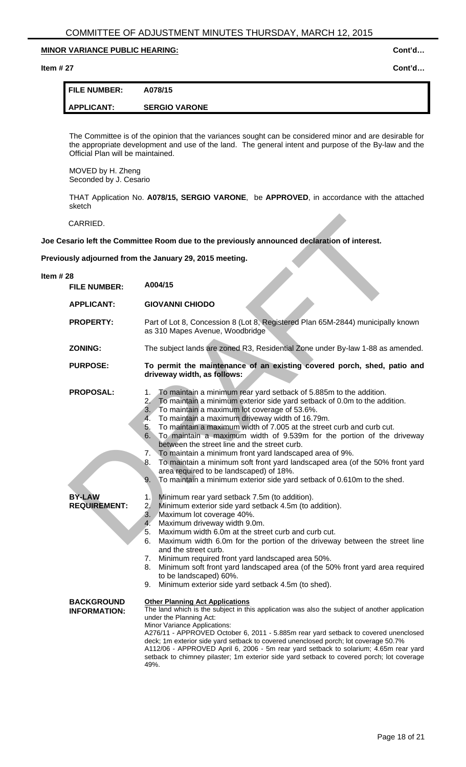#### **Item # 27 Cont'd…**

| <b>FILE NUMBER:</b> | A078/15              |
|---------------------|----------------------|
| APPLICANT:          | <b>SERGIO VARONE</b> |

The Committee is of the opinion that the variances sought can be considered minor and are desirable for the appropriate development and use of the land. The general intent and purpose of the By-law and the Official Plan will be maintained.

MOVED by H. Zheng Seconded by J. Cesario

THAT Application No. **A078/15, SERGIO VARONE**, be **APPROVED**, in accordance with the attached sketch

# **Previously adjourned from the January 29, 2015 meeting.**

| CARRIED.                                                 |                                                                                                                                                                                                                                                                                                                                                                                                                                                                                                                                                                                                                                                                                                                                                                                                                                                                                                                                                                                                                                                                                                                                                                                                                                                                                                                                                                                                  |
|----------------------------------------------------------|--------------------------------------------------------------------------------------------------------------------------------------------------------------------------------------------------------------------------------------------------------------------------------------------------------------------------------------------------------------------------------------------------------------------------------------------------------------------------------------------------------------------------------------------------------------------------------------------------------------------------------------------------------------------------------------------------------------------------------------------------------------------------------------------------------------------------------------------------------------------------------------------------------------------------------------------------------------------------------------------------------------------------------------------------------------------------------------------------------------------------------------------------------------------------------------------------------------------------------------------------------------------------------------------------------------------------------------------------------------------------------------------------|
|                                                          | Joe Cesario left the Committee Room due to the previously announced declaration of interest.                                                                                                                                                                                                                                                                                                                                                                                                                                                                                                                                                                                                                                                                                                                                                                                                                                                                                                                                                                                                                                                                                                                                                                                                                                                                                                     |
|                                                          | Previously adjourned from the January 29, 2015 meeting.                                                                                                                                                                                                                                                                                                                                                                                                                                                                                                                                                                                                                                                                                                                                                                                                                                                                                                                                                                                                                                                                                                                                                                                                                                                                                                                                          |
| Item $#28$<br><b>FILE NUMBER:</b>                        | A004/15                                                                                                                                                                                                                                                                                                                                                                                                                                                                                                                                                                                                                                                                                                                                                                                                                                                                                                                                                                                                                                                                                                                                                                                                                                                                                                                                                                                          |
| <b>APPLICANT:</b>                                        | <b>GIOVANNI CHIODO</b>                                                                                                                                                                                                                                                                                                                                                                                                                                                                                                                                                                                                                                                                                                                                                                                                                                                                                                                                                                                                                                                                                                                                                                                                                                                                                                                                                                           |
| <b>PROPERTY:</b>                                         | Part of Lot 8, Concession 8 (Lot 8, Registered Plan 65M-2844) municipally known<br>as 310 Mapes Avenue, Woodbridge                                                                                                                                                                                                                                                                                                                                                                                                                                                                                                                                                                                                                                                                                                                                                                                                                                                                                                                                                                                                                                                                                                                                                                                                                                                                               |
| <b>ZONING:</b>                                           | The subject lands are zoned R3, Residential Zone under By-law 1-88 as amended.                                                                                                                                                                                                                                                                                                                                                                                                                                                                                                                                                                                                                                                                                                                                                                                                                                                                                                                                                                                                                                                                                                                                                                                                                                                                                                                   |
| <b>PURPOSE:</b>                                          | To permit the maintenance of an existing covered porch, shed, patio and<br>driveway width, as follows:                                                                                                                                                                                                                                                                                                                                                                                                                                                                                                                                                                                                                                                                                                                                                                                                                                                                                                                                                                                                                                                                                                                                                                                                                                                                                           |
| <b>PROPOSAL:</b><br><b>BY-LAW</b><br><b>REQUIREMENT:</b> | To maintain a minimum rear yard setback of 5.885m to the addition.<br>1.<br>To maintain a minimum exterior side yard setback of 0.0m to the addition.<br>2.<br>3. To maintain a maximum lot coverage of 53.6%.<br>To maintain a maximum driveway width of 16.79m.<br>4.<br>To maintain a maximum width of 7.005 at the street curb and curb cut.<br>5.<br>To maintain a maximum width of 9.539m for the portion of the driveway<br>6.<br>between the street line and the street curb.<br>To maintain a minimum front yard landscaped area of 9%.<br>7.<br>To maintain a minimum soft front yard landscaped area (of the 50% front yard<br>8.<br>area required to be landscaped) of 18%.<br>To maintain a minimum exterior side yard setback of 0.610m to the shed.<br>9.<br>Minimum rear yard setback 7.5m (to addition).<br>1.<br>Minimum exterior side yard setback 4.5m (to addition).<br>2/<br>3. Maximum lot coverage 40%.<br>Maximum driveway width 9.0m.<br>4 <sup>2</sup><br>Maximum width 6.0m at the street curb and curb cut.<br>5.<br>Maximum width 6.0m for the portion of the driveway between the street line<br>6.<br>and the street curb.<br>Minimum required front yard landscaped area 50%.<br>7.<br>Minimum soft front yard landscaped area (of the 50% front yard area required<br>8.<br>to be landscaped) 60%.<br>Minimum exterior side yard setback 4.5m (to shed).<br>9. |
| <b>BACKGROUND</b><br><b>INFORMATION:</b>                 | <b>Other Planning Act Applications</b><br>The land which is the subject in this application was also the subject of another application<br>under the Planning Act:<br>Minor Variance Applications:<br>A276/11 - APPROVED October 6, 2011 - 5.885m rear yard setback to covered unenclosed<br>deck; 1m exterior side yard setback to covered unenclosed porch; lot coverage 50.7%<br>A112/06 - APPROVED April 6, 2006 - 5m rear yard setback to solarium; 4.65m rear yard<br>setback to chimney pilaster; 1m exterior side yard setback to covered porch; lot coverage<br>49%.                                                                                                                                                                                                                                                                                                                                                                                                                                                                                                                                                                                                                                                                                                                                                                                                                    |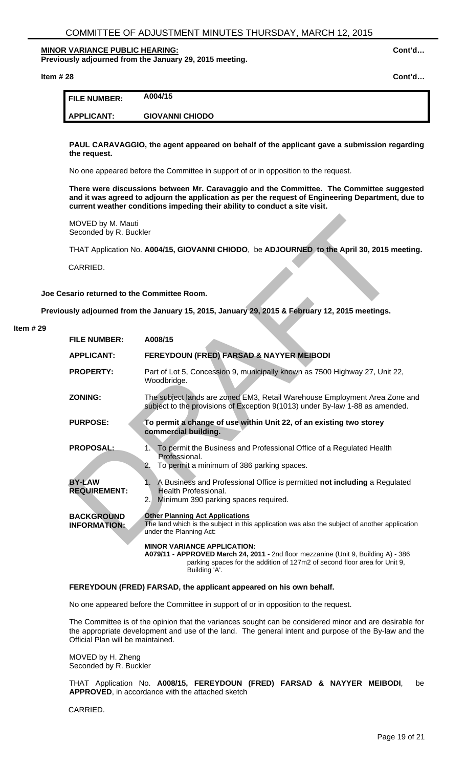**Previously adjourned from the January 29, 2015 meeting.** 

**Item # 28 Cont'd…** 

| <b>FILE NUMBER:</b> | A004/15                |
|---------------------|------------------------|
| APPLICANT:          | <b>GIOVANNI CHIODO</b> |

**PAUL CARAVAGGIO, the agent appeared on behalf of the applicant gave a submission regarding the request.**

No one appeared before the Committee in support of or in opposition to the request.

**There were discussions between Mr. Caravaggio and the Committee. The Committee suggested and it was agreed to adjourn the application as per the request of Engineering Department, due to current weather conditions impeding their ability to conduct a site visit.** 

# **Joe Cesario returned to the Committee Room.**

**Previously adjourned from the January 15, 2015, January 29, 2015 & February 12, 2015 meetings.** 

#### **Item # 29**

| MOVED by M. Mauti<br>Seconded by R. Buckler |                                                                                                                                                                                                                        |
|---------------------------------------------|------------------------------------------------------------------------------------------------------------------------------------------------------------------------------------------------------------------------|
|                                             | THAT Application No. A004/15, GIOVANNI CHIODO, be ADJOURNED to the April 30, 2015 meeting.                                                                                                                             |
| CARRIED.                                    |                                                                                                                                                                                                                        |
| sario returned to the Committee Room.       |                                                                                                                                                                                                                        |
|                                             | usly adjourned from the January 15, 2015, January 29, 2015 & February 12, 2015 meetings.                                                                                                                               |
| <b>FILE NUMBER:</b>                         | A008/15                                                                                                                                                                                                                |
| <b>APPLICANT:</b>                           | FEREYDOUN (FRED) FARSAD & NAYYER MEIBODI                                                                                                                                                                               |
| <b>PROPERTY:</b>                            | Part of Lot 5, Concession 9, municipally known as 7500 Highway 27, Unit 22,<br>Woodbridge.                                                                                                                             |
| <b>ZONING:</b>                              | The subject lands are zoned EM3, Retail Warehouse Employment Area Zone and<br>subject to the provisions of Exception 9(1013) under By-law 1-88 as amended.                                                             |
| <b>PURPOSE:</b>                             | To permit a change of use within Unit 22, of an existing two storey<br>commercial building.                                                                                                                            |
| <b>PROPOSAL:</b>                            | 1. To permit the Business and Professional Office of a Regulated Health<br>Professional.<br>To permit a minimum of 386 parking spaces.<br>2.                                                                           |
| <b>BY-LAW</b><br><b>REQUIREMENT:</b>        | 1. A Business and Professional Office is permitted not including a Regulated<br><b>Health Professional.</b><br>Minimum 390 parking spaces required.<br>2.1                                                             |
| <b>BACKGROUND</b><br><b>INFORMATION:</b>    | <b>Other Planning Act Applications</b><br>The land which is the subject in this application was also the subject of another application<br>under the Planning Act:                                                     |
|                                             | <b>MINOR VARIANCE APPLICATION:</b><br>A079/11 - APPROVED March 24, 2011 - 2nd floor mezzanine (Unit 9, Building A) - 386<br>parking spaces for the addition of 127m2 of second floor area for Unit 9,<br>Building 'A'. |

# **FEREYDOUN (FRED) FARSAD, the applicant appeared on his own behalf.**

No one appeared before the Committee in support of or in opposition to the request.

The Committee is of the opinion that the variances sought can be considered minor and are desirable for the appropriate development and use of the land. The general intent and purpose of the By-law and the Official Plan will be maintained.

MOVED by H. Zheng Seconded by R. Buckler

THAT Application No. **A008/15, FEREYDOUN (FRED) FARSAD & NAYYER MEIBODI**, be **APPROVED**, in accordance with the attached sketch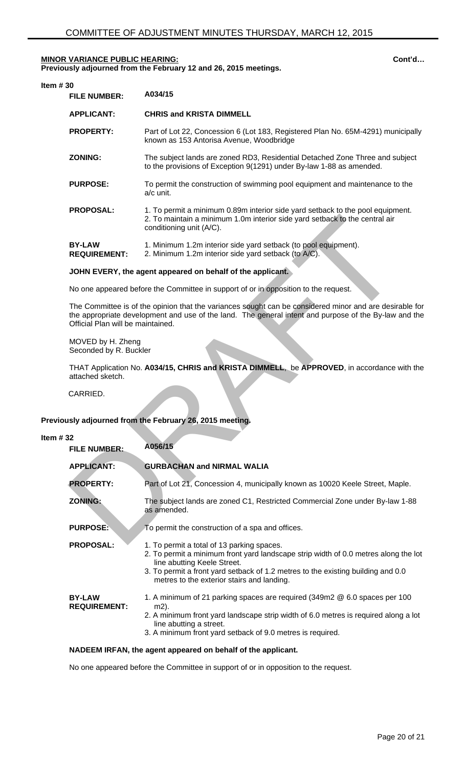**Previously adjourned from the February 12 and 26, 2015 meetings.** 

| Item $#30$ |                                      |                                                                                                                                                                                           |
|------------|--------------------------------------|-------------------------------------------------------------------------------------------------------------------------------------------------------------------------------------------|
|            | <b>FILE NUMBER:</b>                  | A034/15                                                                                                                                                                                   |
|            | <b>APPLICANT:</b>                    | <b>CHRIS and KRISTA DIMMELL</b>                                                                                                                                                           |
|            | <b>PROPERTY:</b>                     | Part of Lot 22, Concession 6 (Lot 183, Registered Plan No. 65M-4291) municipally<br>known as 153 Antorisa Avenue, Woodbridge                                                              |
|            | <b>ZONING:</b>                       | The subject lands are zoned RD3, Residential Detached Zone Three and subject<br>to the provisions of Exception 9(1291) under By-law 1-88 as amended.                                      |
|            | <b>PURPOSE:</b>                      | To permit the construction of swimming pool equipment and maintenance to the<br>$a/c$ unit.                                                                                               |
|            | <b>PROPOSAL:</b>                     | 1. To permit a minimum 0.89m interior side yard setback to the pool equipment.<br>2. To maintain a minimum 1.0m interior side yard setback to the central air<br>conditioning unit (A/C). |
|            | <b>BY-LAW</b><br><b>REQUIREMENT:</b> | 1. Minimum 1.2m interior side yard setback (to pool equipment).<br>2. Minimum 1.2m interior side yard setback (to A/C).                                                                   |

#### **JOHN EVERY, the agent appeared on behalf of the applicant.**

# **Previously adjourned from the February 26, 2015 meeting.**

#### **Item # 32**

|                                             | 2. To maintain a minimum 1.0m interior side yard setback to the central air<br>conditioning unit (A/C).                                                                                                                                                                                            |
|---------------------------------------------|----------------------------------------------------------------------------------------------------------------------------------------------------------------------------------------------------------------------------------------------------------------------------------------------------|
| <b>BY-LAW</b><br><b>REQUIREMENT:</b>        | 1. Minimum 1.2m interior side yard setback (to pool equipment).<br>2. Minimum 1.2m interior side yard setback (to A/C).                                                                                                                                                                            |
|                                             | JOHN EVERY, the agent appeared on behalf of the applicant.                                                                                                                                                                                                                                         |
|                                             | No one appeared before the Committee in support of or in opposition to the request.                                                                                                                                                                                                                |
| Official Plan will be maintained.           | The Committee is of the opinion that the variances sought can be considered minor and are desirable for<br>the appropriate development and use of the land. The general intent and purpose of the By-law and the                                                                                   |
| MOVED by H. Zheng<br>Seconded by R. Buckler |                                                                                                                                                                                                                                                                                                    |
| attached sketch.                            | THAT Application No. A034/15, CHRIS and KRISTA DIMMELL, be APPROVED, in accordance with the                                                                                                                                                                                                        |
| CARRIED.                                    |                                                                                                                                                                                                                                                                                                    |
|                                             | sly adjourned from the February 26, 2015 meeting.                                                                                                                                                                                                                                                  |
|                                             |                                                                                                                                                                                                                                                                                                    |
| 2١<br><b>FILE NUMBER:</b>                   | A056/15                                                                                                                                                                                                                                                                                            |
| <b>APPLICANT:</b>                           | <b>GURBACHAN and NIRMAL WALIA</b>                                                                                                                                                                                                                                                                  |
| <b>PROPERTY:</b>                            | Part of Lot 21, Concession 4, municipally known as 10020 Keele Street, Maple.                                                                                                                                                                                                                      |
| <b>ZONING:</b>                              | The subject lands are zoned C1, Restricted Commercial Zone under By-law 1-88<br>as amended.                                                                                                                                                                                                        |
| <b>PURPOSE:</b>                             | To permit the construction of a spa and offices.                                                                                                                                                                                                                                                   |
| <b>PROPOSAL:</b>                            | 1. To permit a total of 13 parking spaces.<br>2. To permit a minimum front yard landscape strip width of 0.0 metres along the lot<br>line abutting Keele Street.<br>3. To permit a front yard setback of 1.2 metres to the existing building and 0.0<br>metres to the exterior stairs and landing. |

#### **NADEEM IRFAN, the agent appeared on behalf of the applicant.**

No one appeared before the Committee in support of or in opposition to the request.